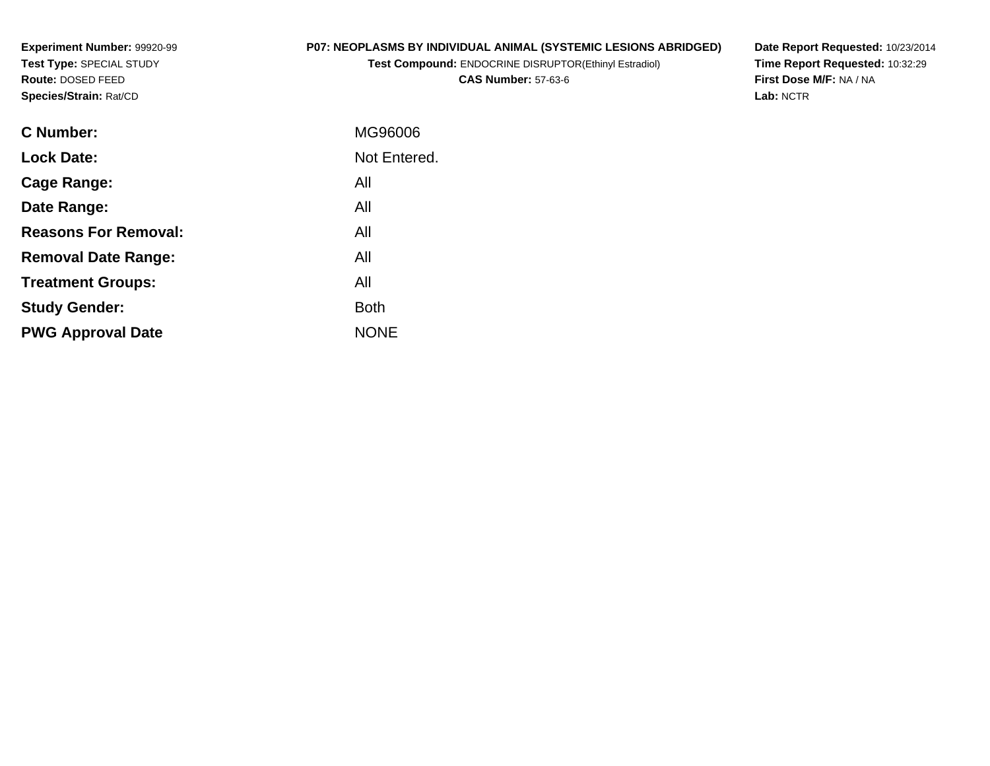**Experiment Number:** 99920-99**Test Type:** SPECIAL STUDY**Route:** DOSED FEED**Species/Strain:** Rat/CD

# **P07: NEOPLASMS BY INDIVIDUAL ANIMAL (SYSTEMIC LESIONS ABRIDGED)**

**Test Compound:** ENDOCRINE DISRUPTOR(Ethinyl Estradiol)

**CAS Number:** 57-63-6

**Date Report Requested:** 10/23/2014 **Time Report Requested:** 10:32:29**First Dose M/F:** NA / NA**Lab:** NCTR

| <b>C</b> Number:            | MG96006      |
|-----------------------------|--------------|
| <b>Lock Date:</b>           | Not Entered. |
| Cage Range:                 | All          |
| Date Range:                 | All          |
| <b>Reasons For Removal:</b> | All          |
| <b>Removal Date Range:</b>  | All          |
| <b>Treatment Groups:</b>    | All          |
| <b>Study Gender:</b>        | <b>Both</b>  |
| <b>PWG Approval Date</b>    | <b>NONE</b>  |
|                             |              |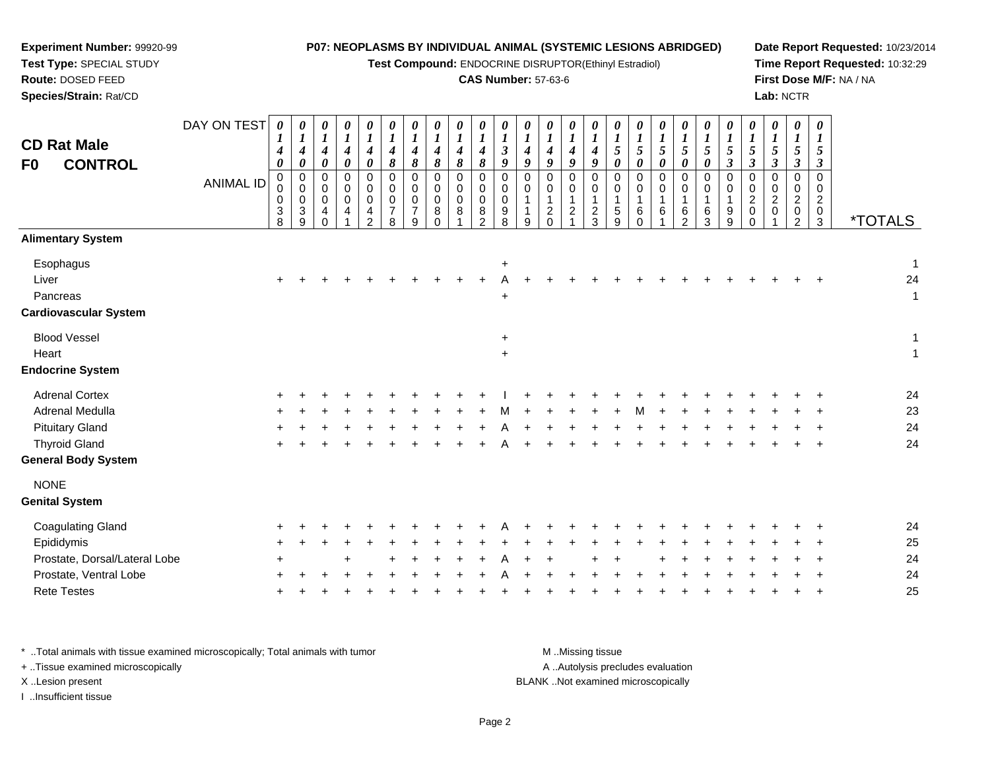#### **Experiment Number:** 99920-99**Test Type:** SPECIAL STUDY**Route:** DOSED FEED **Species/Strain:** Rat/CD**P07: NEOPLASMS BY INDIVIDUAL ANIMAL (SYSTEMIC LESIONS ABRIDGED)Test Compound:** ENDOCRINE DISRUPTOR(Ethinyl Estradiol)**CAS Number:** 57-63-6**Date Report Requested:** 10/23/2014**Time Report Requested:** 10:32:29**First Dose M/F:** NA / NA**Lab:** NCTRDAY ON TEST *0 10 10 10 10 10 10 10 10 10 10 10 10 10 10 10 10 10 10 10 10 10 10 10 10 1*

| <b>CD Rat Male</b><br><b>CONTROL</b><br>F0                     |                  | $\overline{ }$<br>$\boldsymbol{4}$<br>$\pmb{\theta}$ | $\overline{ }$<br>$\boldsymbol{4}$<br>$\pmb{\theta}$                | $\overline{ }$<br>$\boldsymbol{4}$<br>$\pmb{\theta}$       | $\mathbf{I}$<br>$\boldsymbol{4}$<br>$\pmb{\theta}$ | $\mathbf{I}$<br>$\boldsymbol{4}$<br>$\pmb{\theta}$ | $\overline{1}$<br>$\frac{4}{8}$            | $\overline{ }$<br>$\frac{4}{8}$            | $\overline{ }$<br>$\boldsymbol{4}$<br>$\pmb{8}$             | $\mathbf{I}$<br>$\boldsymbol{4}$<br>$\pmb{8}$ | $\overline{ }$<br>$\boldsymbol{4}$<br>$\boldsymbol{\delta}$ | $\overline{ }$<br>$\boldsymbol{\beta}$<br>9 | $\mathbf{I}$<br>$\boldsymbol{4}$<br>9 | $\overline{ }$<br>$\boldsymbol{4}$<br>9               | $\boldsymbol{4}$<br>9              | $\mathbf{I}$<br>$\boldsymbol{4}$<br>9                       | $\mathbf{I}$<br>$\sqrt{5}$<br>$\pmb{\theta}$ | $\overline{ }$<br>$\overline{5}$<br>$\boldsymbol{\theta}$  | $\mathbf{I}$<br>$\sqrt{5}$<br>$\pmb{\theta}$ | $\overline{ }$<br>$\sqrt{5}$<br>$\pmb{\theta}$ | $\mathbf{I}$<br>$\sqrt{5}$<br>$\boldsymbol{\theta}$ | $\overline{ }$<br>$\sqrt{5}$<br>$\boldsymbol{\beta}$ | $\overline{ }$<br>$\mathfrak{s}$<br>$\boldsymbol{\beta}$              | $\overline{ }$<br>$\sqrt{5}$<br>$\mathfrak{z}$ | $\overline{1}$<br>$\sqrt{5}$<br>$\boldsymbol{\beta}$          | $\mathbf{I}$<br>5<br>$\boldsymbol{\beta}$ |                                      |
|----------------------------------------------------------------|------------------|------------------------------------------------------|---------------------------------------------------------------------|------------------------------------------------------------|----------------------------------------------------|----------------------------------------------------|--------------------------------------------|--------------------------------------------|-------------------------------------------------------------|-----------------------------------------------|-------------------------------------------------------------|---------------------------------------------|---------------------------------------|-------------------------------------------------------|------------------------------------|-------------------------------------------------------------|----------------------------------------------|------------------------------------------------------------|----------------------------------------------|------------------------------------------------|-----------------------------------------------------|------------------------------------------------------|-----------------------------------------------------------------------|------------------------------------------------|---------------------------------------------------------------|-------------------------------------------|--------------------------------------|
|                                                                | <b>ANIMAL ID</b> | 0<br>$\pmb{0}$<br>$\,0\,$<br>$\sqrt{3}$<br>8         | $\mathbf 0$<br>$\,0\,$<br>$\,0\,$<br>$\ensuremath{\mathsf{3}}$<br>9 | $\mathbf 0$<br>$\mathbf 0$<br>$\mathbf 0$<br>4<br>$\Omega$ | $\Omega$<br>$\mathbf 0$<br>$\mathbf 0$<br>4        | 0<br>0<br>$\pmb{0}$<br>4<br>$\mathcal{P}$          | 0<br>0<br>$\pmb{0}$<br>$\overline{7}$<br>8 | 0<br>0<br>$\pmb{0}$<br>$\overline{7}$<br>9 | $\mathbf 0$<br>$\pmb{0}$<br>$\pmb{0}$<br>$\bf8$<br>$\Omega$ | 0<br>$\pmb{0}$<br>0<br>8                      | $\Omega$<br>$\mathbf 0$<br>$\pmb{0}$<br>$\bf 8$<br>2        | $\Omega$<br>0<br>$\mathbf 0$<br>9<br>8      | $\Omega$<br>$\mathbf 0$<br>9          | $\Omega$<br>$\mathbf 0$<br>$\overline{c}$<br>$\Omega$ | 0<br>$\mathbf 0$<br>$\overline{c}$ | $\mathbf 0$<br>$\pmb{0}$<br>$\mathbf{1}$<br>$\sqrt{2}$<br>3 | $\Omega$<br>0<br>$\mathbf{1}$<br>5<br>9      | $\Omega$<br>$\mathbf 0$<br>$\overline{1}$<br>6<br>$\Omega$ | $\Omega$<br>0<br>6                           | 0<br>$\mathbf 0$<br>6<br>$\mathcal{P}$         | 0<br>0<br>$\,6\,$<br>3                              | 0<br>$\mathbf 0$<br>$\boldsymbol{9}$<br>9            | $\mathbf 0$<br>$\pmb{0}$<br>$\boldsymbol{2}$<br>$\pmb{0}$<br>$\Omega$ | $\Omega$<br>0<br>$\overline{2}$<br>0           | $\Omega$<br>$\mathbf 0$<br>$\overline{c}$<br>$\mathbf 0$<br>2 | $\Omega$<br>0<br>$\overline{c}$<br>0<br>3 | <i><b>*TOTALS</b></i>                |
| <b>Alimentary System</b>                                       |                  |                                                      |                                                                     |                                                            |                                                    |                                                    |                                            |                                            |                                                             |                                               |                                                             |                                             |                                       |                                                       |                                    |                                                             |                                              |                                                            |                                              |                                                |                                                     |                                                      |                                                                       |                                                |                                                               |                                           |                                      |
| Esophagus<br>Liver<br>Pancreas<br><b>Cardiovascular System</b> |                  |                                                      |                                                                     |                                                            |                                                    |                                                    |                                            |                                            |                                                             |                                               |                                                             | $\ddot{}$<br>$\ddot{}$                      |                                       |                                                       |                                    |                                                             |                                              |                                                            |                                              |                                                |                                                     |                                                      |                                                                       |                                                |                                                               |                                           | $\overline{1}$<br>24<br>$\mathbf{1}$ |
| <b>Blood Vessel</b><br>Heart<br><b>Endocrine System</b>        |                  |                                                      |                                                                     |                                                            |                                                    |                                                    |                                            |                                            |                                                             |                                               |                                                             | $\ddot{}$<br>$+$                            |                                       |                                                       |                                    |                                                             |                                              |                                                            |                                              |                                                |                                                     |                                                      |                                                                       |                                                |                                                               |                                           | $\mathbf{1}$<br>$\overline{1}$       |
| <b>Adrenal Cortex</b><br>Adrenal Medulla                       |                  |                                                      |                                                                     |                                                            |                                                    |                                                    |                                            |                                            |                                                             |                                               |                                                             |                                             |                                       |                                                       |                                    |                                                             |                                              |                                                            |                                              |                                                |                                                     |                                                      |                                                                       |                                                |                                                               |                                           | 24<br>23                             |
| <b>Pituitary Gland</b>                                         |                  |                                                      |                                                                     |                                                            |                                                    |                                                    |                                            |                                            |                                                             |                                               |                                                             |                                             |                                       |                                                       |                                    |                                                             |                                              |                                                            |                                              |                                                |                                                     |                                                      |                                                                       |                                                |                                                               |                                           | 24                                   |
| <b>Thyroid Gland</b><br><b>General Body System</b>             |                  |                                                      |                                                                     |                                                            |                                                    |                                                    |                                            |                                            |                                                             |                                               |                                                             |                                             |                                       |                                                       |                                    |                                                             |                                              |                                                            |                                              |                                                |                                                     |                                                      |                                                                       |                                                |                                                               |                                           | 24                                   |
| <b>NONE</b><br><b>Genital System</b>                           |                  |                                                      |                                                                     |                                                            |                                                    |                                                    |                                            |                                            |                                                             |                                               |                                                             |                                             |                                       |                                                       |                                    |                                                             |                                              |                                                            |                                              |                                                |                                                     |                                                      |                                                                       |                                                |                                                               |                                           |                                      |
| <b>Coagulating Gland</b>                                       |                  |                                                      |                                                                     |                                                            |                                                    |                                                    |                                            |                                            |                                                             |                                               |                                                             |                                             |                                       |                                                       |                                    |                                                             |                                              |                                                            |                                              |                                                |                                                     |                                                      |                                                                       |                                                |                                                               |                                           | 24                                   |
| Epididymis                                                     |                  |                                                      |                                                                     |                                                            |                                                    |                                                    |                                            |                                            |                                                             |                                               |                                                             |                                             |                                       |                                                       |                                    |                                                             |                                              |                                                            |                                              |                                                |                                                     |                                                      |                                                                       |                                                |                                                               |                                           | 25                                   |
| Prostate, Dorsal/Lateral Lobe                                  |                  |                                                      |                                                                     |                                                            |                                                    |                                                    |                                            |                                            |                                                             |                                               |                                                             |                                             |                                       |                                                       |                                    |                                                             |                                              |                                                            |                                              |                                                |                                                     |                                                      |                                                                       |                                                |                                                               |                                           | 24                                   |
| Prostate, Ventral Lobe                                         |                  |                                                      |                                                                     |                                                            |                                                    |                                                    |                                            |                                            |                                                             |                                               |                                                             |                                             |                                       |                                                       |                                    |                                                             |                                              |                                                            |                                              |                                                |                                                     |                                                      |                                                                       |                                                |                                                               |                                           | 24                                   |
| <b>Rete Testes</b>                                             |                  |                                                      |                                                                     |                                                            |                                                    |                                                    |                                            |                                            |                                                             |                                               |                                                             |                                             |                                       |                                                       |                                    |                                                             |                                              |                                                            |                                              |                                                |                                                     |                                                      |                                                                       |                                                |                                                               |                                           | 25                                   |

\* ..Total animals with tissue examined microscopically; Total animals with tumor **M** ...Missing tissue M ...Missing tissue A .. Autolysis precludes evaluation + ..Tissue examined microscopically X ..Lesion present BLANK ..Not examined microscopicallyI ..Insufficient tissue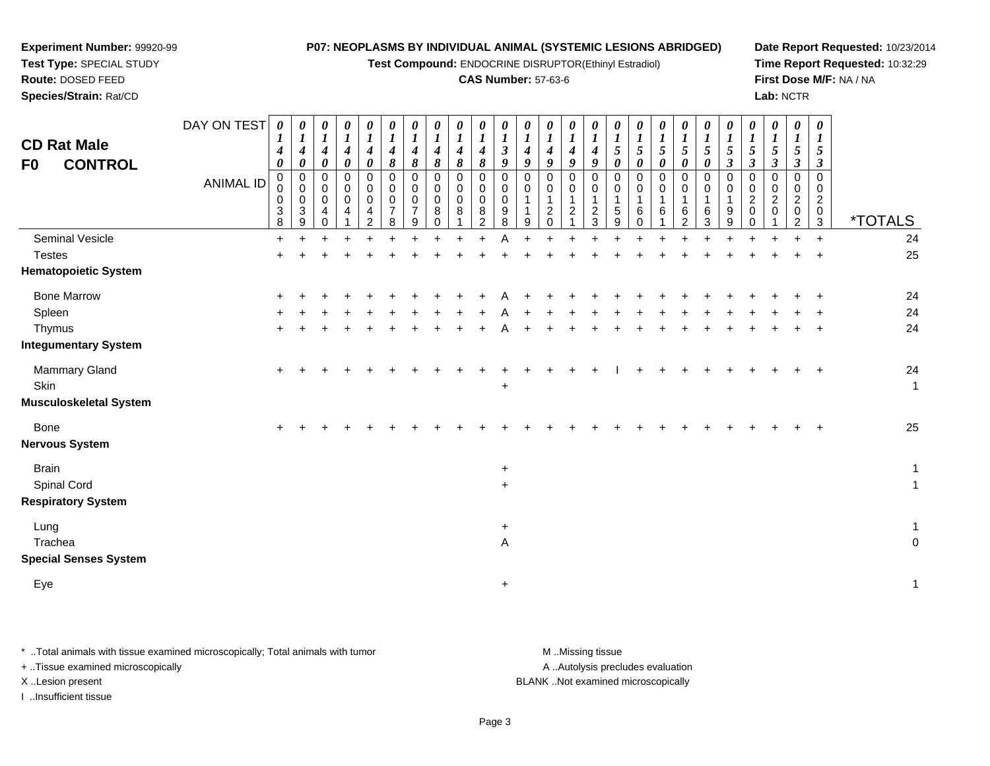**Test Compound:** ENDOCRINE DISRUPTOR(Ethinyl Estradiol)

#### **CAS Number:** 57-63-6

**Date Report Requested:** 10/23/2014**Time Report Requested:** 10:32:29**First Dose M/F:** NA / NA**Lab:** NCTR

DAY ON TEST**CD Rat Male F0 CONTROL**ANIMAL ID*0 1 4 0* 0 0 0 3 8 $\ddot{}$ *0 1 4 0* 0 0 0 3 9*0 1 4 0* 0 0 0 4 0*0 1 4 0* 0 0 0 4 1*0 1 4 0* 0 0 0 4 2*0 1 4 8* 0 0 0 7 8*0 1 4 8* 0 0 0 7 9*0 1 4 8* 0 0 0 8 0*0 1 4 8* 0 0 0 8 1*0 1 4 8* 0 0 0 8 2*0 1 3 9* 0 0 0 9 8Α *0 1 4 9* 0 0 1 1 9*0 1 4 9* 0 0 1 2 0 $\ddot{}$ *0 1 4 9* 0 0 1 2 1*0 1 4 9* 0 0 1 2 3*0 1 5 0* 0 0 1 5 9*0 1 5 0* 0 0 1 6 0*0 1 5 0* 0 0 1 6 1 $\ddot{}$ *0 1 5 0* 0 0 1 6 2*0 1 5 0* 0 0 1 6 3*0 1 5 3* 0 0 1 9 9*0 1 5 3* 0 0 2 0 0*0 1 5 3* 0 0 2 0 1*0 1 5 3* 0 0 2 0 2*0 1 5 3* 0 0 2 0 $\tilde{3}$ 3 \*TOTALS24 Seminal Vesiclee + <sup>+</sup> <sup>+</sup> <sup>+</sup> <sup>+</sup> <sup>+</sup> <sup>+</sup> <sup>+</sup> <sup>+</sup> <sup>+</sup> <sup>A</sup> <sup>+</sup> <sup>+</sup> <sup>+</sup> <sup>+</sup> <sup>+</sup> <sup>+</sup> <sup>+</sup> <sup>+</sup> <sup>+</sup> <sup>+</sup> <sup>+</sup> <sup>+</sup> <sup>+</sup> <sup>+</sup> <sup>24</sup> **Testes**  <sup>+</sup> <sup>+</sup> <sup>+</sup> <sup>+</sup> <sup>+</sup> <sup>+</sup> <sup>+</sup> <sup>+</sup> <sup>+</sup> <sup>+</sup> <sup>+</sup> <sup>+</sup> <sup>+</sup> <sup>+</sup> <sup>+</sup> <sup>+</sup> <sup>+</sup> <sup>+</sup> <sup>+</sup> <sup>+</sup> <sup>+</sup> <sup>+</sup> <sup>+</sup> <sup>+</sup> <sup>+</sup> <sup>25</sup> **Hematopoietic System**Bone Marrow <sup>+</sup> <sup>+</sup> <sup>+</sup> <sup>+</sup> <sup>+</sup> <sup>+</sup> <sup>+</sup> <sup>+</sup> <sup>+</sup> <sup>+</sup> <sup>A</sup> <sup>+</sup> <sup>+</sup> <sup>+</sup> <sup>+</sup> <sup>+</sup> <sup>+</sup> <sup>+</sup> <sup>+</sup> <sup>+</sup> <sup>+</sup> <sup>+</sup> <sup>+</sup> <sup>+</sup> <sup>+</sup> <sup>24</sup> Spleenn  $+$  <sup>+</sup> <sup>+</sup> <sup>+</sup> <sup>+</sup> <sup>+</sup> <sup>+</sup> <sup>+</sup> <sup>+</sup> <sup>+</sup> <sup>A</sup> <sup>+</sup> <sup>+</sup> <sup>+</sup> <sup>+</sup> <sup>+</sup> <sup>+</sup> <sup>+</sup> <sup>+</sup> <sup>+</sup> <sup>+</sup> <sup>+</sup> <sup>+</sup> <sup>+</sup> <sup>+</sup> <sup>24</sup> Thymus <sup>+</sup> <sup>+</sup> <sup>+</sup> <sup>+</sup> <sup>+</sup> <sup>+</sup> <sup>+</sup> <sup>+</sup> <sup>+</sup> <sup>+</sup> <sup>A</sup> <sup>+</sup> <sup>+</sup> <sup>+</sup> <sup>+</sup> <sup>+</sup> <sup>+</sup> <sup>+</sup> <sup>+</sup> <sup>+</sup> <sup>+</sup> <sup>+</sup> <sup>+</sup> <sup>+</sup> <sup>+</sup> <sup>24</sup> **Integumentary System**Mammary Gland $\alpha$  + <sup>+</sup> <sup>+</sup> <sup>+</sup> <sup>+</sup> <sup>+</sup> <sup>+</sup> <sup>+</sup> <sup>+</sup> <sup>+</sup> <sup>+</sup> <sup>+</sup> <sup>+</sup> <sup>+</sup> <sup>+</sup> <sup>I</sup> <sup>+</sup> <sup>+</sup> <sup>+</sup> <sup>+</sup> <sup>+</sup> <sup>+</sup> <sup>+</sup> <sup>+</sup> <sup>+</sup> <sup>24</sup> **Skin** n  $+$  $\ddot{\phantom{a}}$ **Musculoskeletal System**Bone $e$  + <sup>+</sup> <sup>+</sup> <sup>+</sup> <sup>+</sup> <sup>+</sup> <sup>+</sup> <sup>+</sup> <sup>+</sup> <sup>+</sup> <sup>+</sup> <sup>+</sup> <sup>+</sup> <sup>+</sup> <sup>+</sup> <sup>+</sup> <sup>+</sup> <sup>+</sup> <sup>+</sup> <sup>+</sup> <sup>+</sup> <sup>+</sup> <sup>+</sup> <sup>+</sup> <sup>+</sup> <sup>25</sup> **Nervous SystemBrain** n  $+$  $\ddot{\phantom{a}}$ Spinal Cord $\alpha$  $\ddot{\phantom{a}}$  1 **Respiratory System**Lung $\overline{g}$  $\ddot{\phantom{a}}$  1 Tracheaa and a study of the state of the state of the state of the state of the state of the state of the state of the A and the contract of the contract of the contract of the contract of the contract of the contract of the contract of the contract of the contract of the contract of the contract of the contract of the contract of the cont

**Special Senses System**

**Experiment Number:** 99920-99**Test Type:** SPECIAL STUDY**Route:** DOSED FEED**Species/Strain:** Rat/CD

Eye<sup>+</sup>

\* ..Total animals with tissue examined microscopically; Total animals with tumor M ...Missing tissue M ...Missing tissue

+ ..Tissue examined microscopically

I ..Insufficient tissue

A ..Autolysis precludes evaluation

 $\ddot{\phantom{a}}$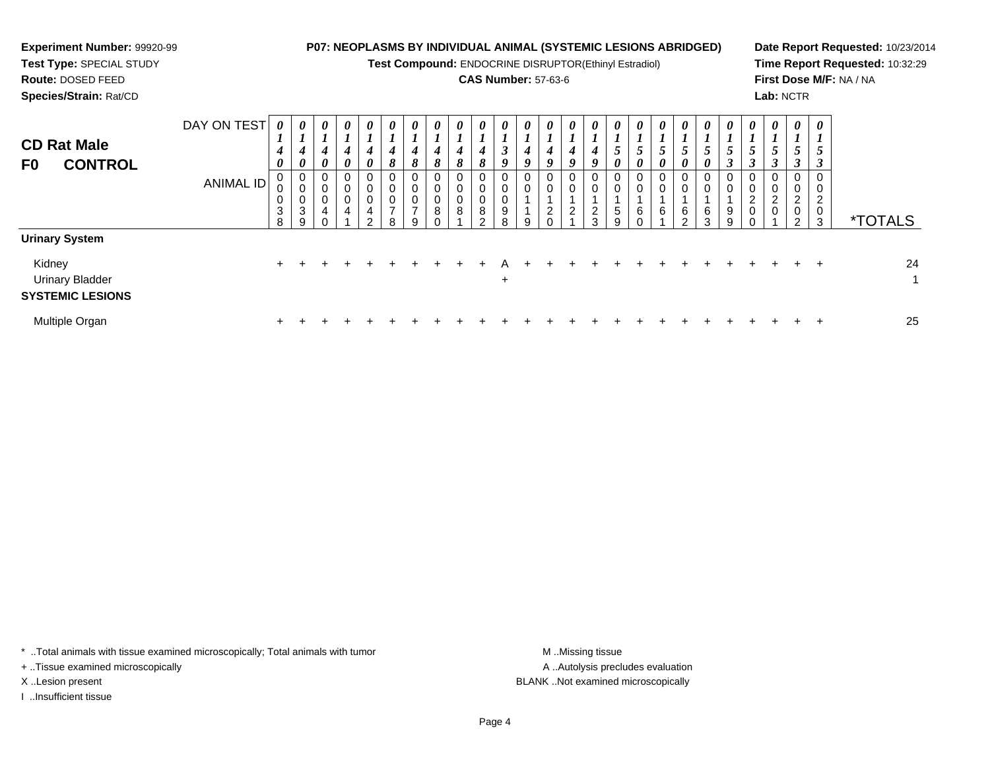| <b>Experiment Number: 99920-99</b><br>Test Type: SPECIAL STUDY<br><b>Route: DOSED FEED</b><br>Species/Strain: Rat/CD |                                 |             |                                   |                                       |                                                               |                                                          |                       |          |                                 | <b>P07: NEOPLASMS BY INDIVIDUAL ANIMAL (SYSTEMIC LESIONS ABRIDGED)</b><br>Test Compound: ENDOCRINE DISRUPTOR(Ethinyl Estradiol)<br><b>CAS Number: 57-63-6</b> |                                      |  |               |               |                                             |               |        |                                 |   |             | Lab: NCTR                                     |        | Date Report Requested: 10/23/2014<br>Time Report Requested: 10:32:29<br>First Dose M/F: NA / NA |    |
|----------------------------------------------------------------------------------------------------------------------|---------------------------------|-------------|-----------------------------------|---------------------------------------|---------------------------------------------------------------|----------------------------------------------------------|-----------------------|----------|---------------------------------|---------------------------------------------------------------------------------------------------------------------------------------------------------------|--------------------------------------|--|---------------|---------------|---------------------------------------------|---------------|--------|---------------------------------|---|-------------|-----------------------------------------------|--------|-------------------------------------------------------------------------------------------------|----|
| <b>CD Rat Male</b><br><b>CONTROL</b><br>F0                                                                           | DAY ON TEST<br><b>ANIMAL ID</b> | 0<br>3<br>8 | $\theta$<br>0<br>0<br>0<br>3<br>9 | 0<br>$\mathbf{I}$<br>0<br>0<br>0<br>0 | 0<br>$\boldsymbol{l}$<br>$\boldsymbol{\theta}$<br>$\mathbf 0$ | $\boldsymbol{\theta}$<br>4<br>0<br>0<br>0<br>0<br>4<br>C | U<br>8<br>0<br>0<br>8 | $\theta$ | $\boldsymbol{\theta}$<br>8<br>8 | 8<br>$\pmb{0}$<br>8                                                                                                                                           | $\boldsymbol{\theta}$<br>0<br>9<br>ጸ |  | $\theta$<br>2 | $\theta$<br>2 | $\boldsymbol{\theta}$<br>$\theta$<br>5<br>9 | $\theta$<br>6 | 6<br>C | $\boldsymbol{\theta}$<br>6<br>3 | 2 | U<br>J<br>2 | J<br>$\overline{\mathbf{c}}$<br>$\mathcal{D}$ | 0<br>3 | <i><b>*TOTALS</b></i>                                                                           |    |
| <b>Urinary System</b><br>Kidney                                                                                      |                                 | $+$         |                                   |                                       |                                                               |                                                          |                       |          |                                 |                                                                                                                                                               |                                      |  |               |               |                                             |               |        |                                 |   |             |                                               |        |                                                                                                 | 24 |
| <b>Urinary Bladder</b><br><b>SYSTEMIC LESIONS</b>                                                                    |                                 |             |                                   |                                       |                                                               |                                                          |                       |          |                                 |                                                                                                                                                               | ÷                                    |  |               |               |                                             |               |        |                                 |   |             |                                               |        |                                                                                                 |    |

\* ..Total animals with tissue examined microscopically; Total animals with tumor M..Missing tissue M ..Missing tissue

n  $+$ 

+ ..Tissue examined microscopically

I ..Insufficient tissue

Multiple Organ

A ..Autolysis precludes evaluation X ..Lesion present BLANK ..Not examined microscopically

<sup>+</sup> <sup>+</sup> <sup>+</sup> <sup>+</sup> <sup>+</sup> <sup>+</sup> <sup>+</sup> <sup>+</sup> <sup>+</sup> <sup>+</sup> <sup>+</sup> <sup>+</sup> <sup>+</sup> <sup>+</sup> <sup>+</sup> <sup>+</sup> <sup>+</sup> <sup>+</sup> <sup>+</sup> <sup>+</sup> <sup>+</sup> <sup>+</sup> <sup>+</sup> <sup>+</sup> <sup>25</sup>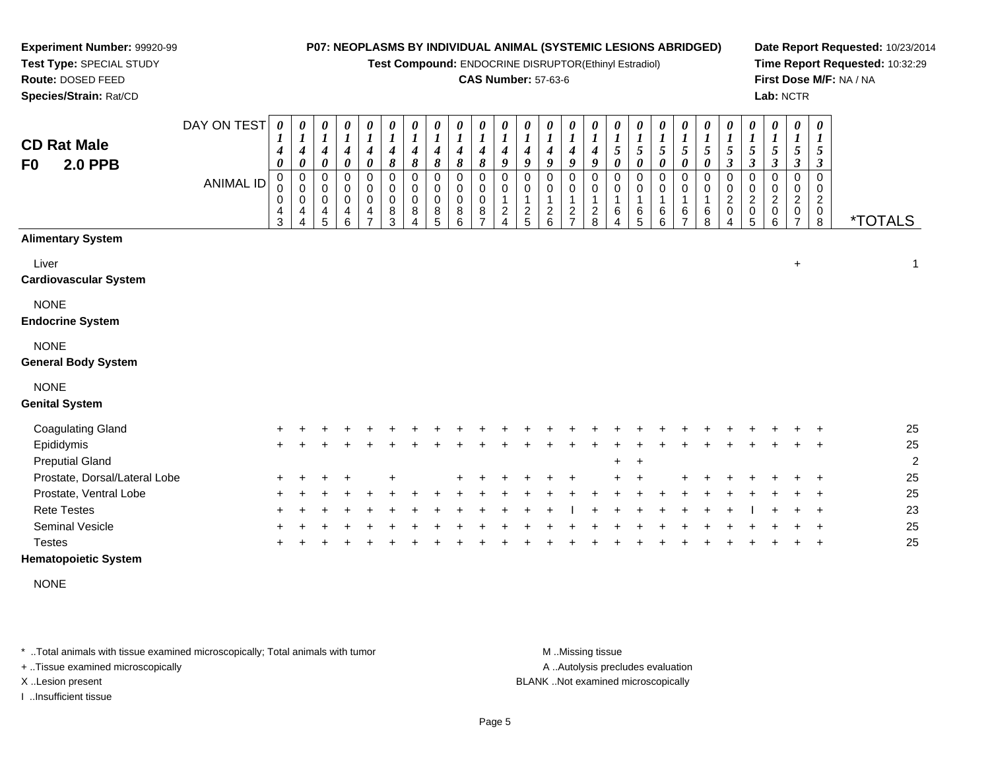**Test Compound:** ENDOCRINE DISRUPTOR(Ethinyl Estradiol)

# **CAS Number:** 57-63-6

**Date Report Requested:** 10/23/2014**Time Report Requested:** 10:32:29**First Dose M/F:** NA / NA**Lab:** NCTR

\*TOTALS

 $+$  1

| Species/Strain: Rat/CD                 |             |                                                         |                                                                      |                                         |                                                               |                               |                                           |                                 |                                                       |                                     |                                            |        |               |                                                |                                                               |                                                |                  |                                          |                            |                                                              |             |                              |                                      | Lab: NCT                                             |   |
|----------------------------------------|-------------|---------------------------------------------------------|----------------------------------------------------------------------|-----------------------------------------|---------------------------------------------------------------|-------------------------------|-------------------------------------------|---------------------------------|-------------------------------------------------------|-------------------------------------|--------------------------------------------|--------|---------------|------------------------------------------------|---------------------------------------------------------------|------------------------------------------------|------------------|------------------------------------------|----------------------------|--------------------------------------------------------------|-------------|------------------------------|--------------------------------------|------------------------------------------------------|---|
| <b>CD Rat Male</b>                     | DAY ON TEST | 0<br>$\mathbf{I}$<br>$\overline{ }$<br>$\boldsymbol{4}$ | 0<br>$\boldsymbol{l}$<br>$\boldsymbol{4}$                            | 0<br>$\boldsymbol{l}$<br>4              | 0<br>$\boldsymbol{l}$<br>4                                    | 0<br>$\boldsymbol{l}$<br>4    | 0<br>$\boldsymbol{l}$<br>$\boldsymbol{4}$ | 0<br>$\boldsymbol{l}$<br>4      | 0<br>$\mathbf{r}$<br>$\mathbf{I}$<br>$\boldsymbol{4}$ | 0<br>$\boldsymbol{4}$               | 0<br>$\mathbf{I}$<br>$\boldsymbol{4}$      | 4      | 4             | $\boldsymbol{\theta}$<br>$\boldsymbol{l}$<br>4 | $\boldsymbol{\theta}$<br>$\boldsymbol{I}$<br>$\boldsymbol{4}$ | $\boldsymbol{\theta}$<br>$\boldsymbol{I}$<br>4 | 0<br>5           | 0<br>$\mathbf{r}$<br>$\overline{ }$<br>5 | 0<br>$\boldsymbol{l}$<br>5 | $\boldsymbol{\theta}$<br>$\boldsymbol{l}$<br>$5\overline{)}$ | 0<br>1<br>5 | 0<br>$\boldsymbol{l}$<br>5   | 0<br>1<br>5                          | $\boldsymbol{\theta}$<br>$\boldsymbol{l}$<br>5       | 0 |
| <b>2.0 PPB</b><br>F0                   |             | $\boldsymbol{\theta}$                                   | $\boldsymbol{\theta}$                                                | $\boldsymbol{\theta}$                   | 0                                                             | 0                             | 8                                         | 8                               | 8                                                     | 8                                   | 8                                          | 9      | 9             | 9                                              | 9                                                             | 9                                              | 0                | $\pmb{\theta}$                           | $\boldsymbol{\theta}$      | $\boldsymbol{\theta}$                                        | 0           | $\boldsymbol{\beta}$         | 3                                    | $\boldsymbol{\beta}$                                 | J |
|                                        | ANIMAL ID   | 0<br>$\mathbf 0$<br>0<br>$\overline{\mathbf{4}}$<br>3   | 0<br>$\boldsymbol{0}$<br>$\mathbf 0$<br>$\overline{\mathbf{4}}$<br>4 | 0<br>$\pmb{0}$<br>$\mathbf 0$<br>4<br>5 | 0<br>$\bar{0}$<br>$\mathbf 0$<br>$\overline{\mathbf{4}}$<br>6 | 0<br>0<br>$\pmb{0}$<br>4<br>⇁ | 0<br>$\pmb{0}$<br>$\pmb{0}$<br>8<br>3     | 0<br>$\mathbf 0$<br>0<br>8<br>4 | 0<br>$\,0\,$<br>$\,0\,$<br>8<br>5                     | 0<br>$\,0\,$<br>$\pmb{0}$<br>8<br>6 | 0<br>$\pmb{0}$<br>0<br>8<br>$\overline{ }$ | 2<br>4 | $\frac{2}{5}$ | 0<br>0<br>$\frac{2}{6}$                        | 0<br>$\mathbf 0$<br>$\frac{2}{7}$                             | 0<br>$\boldsymbol{0}$<br>$\frac{2}{8}$         | 0<br>0<br>6<br>4 | 0<br>$\mathsf 0$<br>6<br>5               | 0<br>$\pmb{0}$<br>6<br>6   | 0<br>$\pmb{0}$<br>1<br>6<br>$\overline{7}$                   | 6<br>8      | 0<br>0<br>$\frac{2}{0}$<br>4 | 0<br>0<br>$\boldsymbol{2}$<br>0<br>5 | 0<br>$\pmb{0}$<br>$\boldsymbol{2}$<br>$\pmb{0}$<br>6 |   |
| <b>Alimentary System</b>               |             |                                                         |                                                                      |                                         |                                                               |                               |                                           |                                 |                                                       |                                     |                                            |        |               |                                                |                                                               |                                                |                  |                                          |                            |                                                              |             |                              |                                      |                                                      |   |
| Liver<br><b>Cardiovascular System</b>  |             |                                                         |                                                                      |                                         |                                                               |                               |                                           |                                 |                                                       |                                     |                                            |        |               |                                                |                                                               |                                                |                  |                                          |                            |                                                              |             |                              |                                      |                                                      | t |
| <b>NONE</b><br><b>Endocrine System</b> |             |                                                         |                                                                      |                                         |                                                               |                               |                                           |                                 |                                                       |                                     |                                            |        |               |                                                |                                                               |                                                |                  |                                          |                            |                                                              |             |                              |                                      |                                                      |   |

### NONE

#### **General Body System**

**Experiment Number:** 99920-99**Test Type:** SPECIAL STUDY**Route:** DOSED FEED

# NONE

#### **Genital System**

| <b>Coagulating Gland</b>      | $+$ |         | $+$       |         |        |  |         |         |                             |     |         |        |     |     |     |  |             |         | 25             |
|-------------------------------|-----|---------|-----------|---------|--------|--|---------|---------|-----------------------------|-----|---------|--------|-----|-----|-----|--|-------------|---------|----------------|
| Epididymis                    | $+$ |         |           |         |        |  |         | $+$ $+$ |                             |     |         |        |     |     |     |  | $+$ $+$     |         | 25             |
| <b>Preputial Gland</b>        |     |         |           |         |        |  |         |         |                             |     | $+$ $+$ |        |     |     |     |  |             |         | $\overline{2}$ |
| Prostate, Dorsal/Lateral Lobe |     | $+$ $+$ | $+$ $+$   |         | $\div$ |  | + + + + |         |                             | $+$ | $+$ $+$ |        |     | $+$ |     |  |             | $+$ $+$ | 25             |
| Prostate, Ventral Lobe        |     |         | + + + +   | $+$ $-$ |        |  |         |         |                             |     |         | $\div$ | $+$ | $+$ | $+$ |  | $+$ $+$     |         | 25             |
| <b>Rete Testes</b>            |     |         | $+ + + +$ |         | $+$    |  |         |         | + + + + + +   + + + + + + + |     |         |        |     |     |     |  | $+$ $+$ $+$ |         | 23             |
| Seminal Vesicle               |     | $+$ $+$ | $+$       |         |        |  |         |         |                             |     |         |        |     | $+$ | $+$ |  |             | $+$ $+$ | 25             |
| Testes                        |     |         |           |         |        |  |         |         |                             |     |         |        |     |     |     |  |             |         | 25             |

# **Hematopoietic System**

NONE

\* ..Total animals with tissue examined microscopically; Total animals with tumor **M** ...Missing tissue M ...Missing tissue

+ ..Tissue examined microscopically

I ..Insufficient tissue

A .. Autolysis precludes evaluation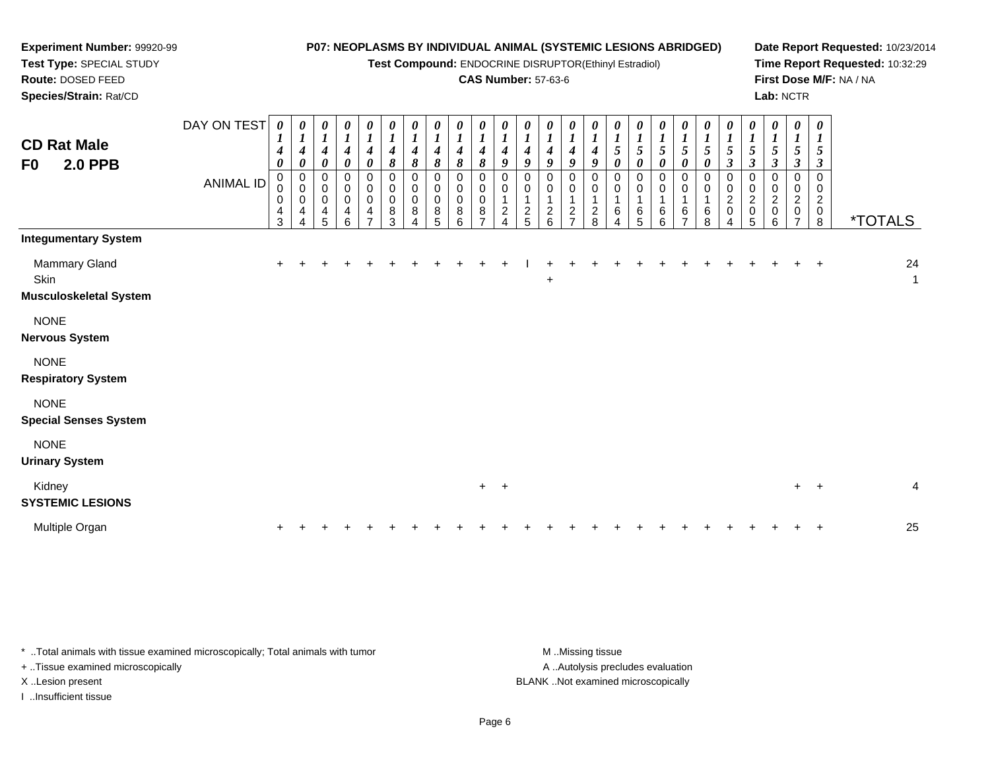**Test Compound:** ENDOCRINE DISRUPTOR(Ethinyl Estradiol)

# **CAS Number:** 57-63-6

**Date Report Requested:** 10/23/2014**Time Report Requested:** 10:32:29**First Dose M/F:** NA / NA**Lab:** NCTR

| <b>CD Rat Male</b><br><b>2.0 PPB</b><br>F <sub>0</sub> | DAY ON TEST<br><b>ANIMAL ID</b> | $\boldsymbol{\theta}$<br>4<br>0<br>0<br>$\pmb{0}$<br>0<br>4<br>3 | 0<br>$\boldsymbol{l}$<br>4<br>$\boldsymbol{\theta}$<br>0<br>$\mathbf 0$<br>0<br>4<br>4 | 0<br>$\boldsymbol{l}$<br>$\boldsymbol{4}$<br>$\boldsymbol{\theta}$<br>0<br>$\pmb{0}$<br>$\pmb{0}$<br>$\frac{4}{5}$ | 0<br>$\boldsymbol{l}$<br>$\boldsymbol{4}$<br>$\pmb{\theta}$<br>$\mathbf 0$<br>$\pmb{0}$<br>$\pmb{0}$<br>4<br>6 | 0<br>$\boldsymbol{l}$<br>$\boldsymbol{4}$<br>$\pmb{\theta}$<br>0<br>$\pmb{0}$<br>$\pmb{0}$<br>4<br>$\overline{ }$ | 0<br>$\boldsymbol{l}$<br>$\boldsymbol{4}$<br>8<br>0<br>$\mathbf 0$<br>$\mathsf 0$<br>8<br>3 | $\boldsymbol{\theta}$<br>$\boldsymbol{l}$<br>$\boldsymbol{4}$<br>8<br>0<br>$\pmb{0}$<br>$\pmb{0}$<br>8<br>$\boldsymbol{\Lambda}$ | 0<br>$\boldsymbol{l}$<br>$\boldsymbol{4}$<br>8<br>$\boldsymbol{0}$<br>$\pmb{0}$<br>$\pmb{0}$<br>8<br>5 | 0<br>$\boldsymbol{l}$<br>$\boldsymbol{4}$<br>8<br>0<br>$\mathbf 0$<br>$\pmb{0}$<br>$\bf 8$<br>6 | 0<br>$\boldsymbol{l}$<br>4<br>8<br>0<br>0<br>0<br>8<br>$\overline{ }$ | 0<br>$\boldsymbol{l}$<br>4<br>9<br>0<br>0<br>$\frac{2}{4}$ | 0<br>$\boldsymbol{l}$<br>4<br>9<br>0<br>$\mathbf 0$<br>$\boldsymbol{2}$<br>5 | $\boldsymbol{\theta}$<br>$\boldsymbol{l}$<br>4<br>9<br>0<br>$\pmb{0}$<br>1<br>$\frac{2}{6}$ | 0<br>$\boldsymbol{l}$<br>$\boldsymbol{4}$<br>9<br>0<br>0<br>$\mathbf{1}$<br>$\frac{2}{7}$ | 0<br>$\boldsymbol{l}$<br>$\boldsymbol{4}$<br>9<br>0<br>0<br>$\mathbf{1}$<br>$\frac{2}{8}$ | $\boldsymbol{\theta}$<br>$\boldsymbol{l}$<br>$\mathfrak{s}$<br>$\boldsymbol{\theta}$<br>0<br>$\pmb{0}$<br>$\mathbf{1}$<br>$\,6$<br>4 | 0<br>$\boldsymbol{l}$<br>$\sqrt{5}$<br>$\pmb{\theta}$<br>0<br>$\,0\,$<br>$\mathbf{1}$<br>$^6_5$ | 0<br>$\boldsymbol{l}$<br>$\mathfrak{s}$<br>$\pmb{\theta}$<br>0<br>$\pmb{0}$<br>$\mathbf{1}$<br>$\,6\,$<br>6 | $\frac{1}{5}$<br>0<br>0<br>0<br>$\mathbf 1$<br>$\frac{6}{7}$ | 5<br>$\boldsymbol{\theta}$<br>0<br>0<br>$\mathbf 1$<br>$\,6$<br>8 | $\boldsymbol{\theta}$<br>$\boldsymbol{l}$<br>5<br>$\boldsymbol{\beta}$<br>0<br>0<br>$\overline{c}$<br>$\mathbf 0$ | $\boldsymbol{\theta}$<br>$\frac{1}{5}$<br>$\mathfrak{z}$<br>0<br>$\mathbf 0$<br>$\sqrt{2}$<br>$\begin{array}{c} 0 \\ 5 \end{array}$ | $\boldsymbol{\theta}$<br>$\boldsymbol{l}$<br>$\mathfrak{s}$<br>$\mathbf{3}$<br>0<br>0<br>$\overline{a}$<br>$\pmb{0}$<br>6 | $\boldsymbol{\theta}$<br>$\boldsymbol{l}$<br>$\sqrt{5}$<br>$\mathfrak{z}$<br>0<br>0<br>$\sqrt{2}$<br>$\pmb{0}$<br>$\overline{7}$ | $\boldsymbol{\theta}$<br>1<br>5<br>3<br>$\Omega$<br>0<br>$\overline{c}$<br>$\mathbf 0$<br>8 | <i><b>*TOTALS</b></i> |         |
|--------------------------------------------------------|---------------------------------|------------------------------------------------------------------|----------------------------------------------------------------------------------------|--------------------------------------------------------------------------------------------------------------------|----------------------------------------------------------------------------------------------------------------|-------------------------------------------------------------------------------------------------------------------|---------------------------------------------------------------------------------------------|----------------------------------------------------------------------------------------------------------------------------------|--------------------------------------------------------------------------------------------------------|-------------------------------------------------------------------------------------------------|-----------------------------------------------------------------------|------------------------------------------------------------|------------------------------------------------------------------------------|---------------------------------------------------------------------------------------------|-------------------------------------------------------------------------------------------|-------------------------------------------------------------------------------------------|--------------------------------------------------------------------------------------------------------------------------------------|-------------------------------------------------------------------------------------------------|-------------------------------------------------------------------------------------------------------------|--------------------------------------------------------------|-------------------------------------------------------------------|-------------------------------------------------------------------------------------------------------------------|-------------------------------------------------------------------------------------------------------------------------------------|---------------------------------------------------------------------------------------------------------------------------|----------------------------------------------------------------------------------------------------------------------------------|---------------------------------------------------------------------------------------------|-----------------------|---------|
| <b>Integumentary System</b>                            |                                 |                                                                  |                                                                                        |                                                                                                                    |                                                                                                                |                                                                                                                   |                                                                                             |                                                                                                                                  |                                                                                                        |                                                                                                 |                                                                       |                                                            |                                                                              |                                                                                             |                                                                                           |                                                                                           |                                                                                                                                      |                                                                                                 |                                                                                                             |                                                              |                                                                   |                                                                                                                   |                                                                                                                                     |                                                                                                                           |                                                                                                                                  |                                                                                             |                       |         |
| Mammary Gland<br>Skin<br><b>Musculoskeletal System</b> |                                 |                                                                  |                                                                                        |                                                                                                                    |                                                                                                                |                                                                                                                   |                                                                                             |                                                                                                                                  |                                                                                                        |                                                                                                 |                                                                       |                                                            |                                                                              | $\ddot{}$                                                                                   |                                                                                           |                                                                                           |                                                                                                                                      |                                                                                                 |                                                                                                             |                                                              |                                                                   |                                                                                                                   |                                                                                                                                     |                                                                                                                           |                                                                                                                                  | $\overline{ }$                                                                              |                       | 24<br>1 |
| <b>NONE</b><br><b>Nervous System</b>                   |                                 |                                                                  |                                                                                        |                                                                                                                    |                                                                                                                |                                                                                                                   |                                                                                             |                                                                                                                                  |                                                                                                        |                                                                                                 |                                                                       |                                                            |                                                                              |                                                                                             |                                                                                           |                                                                                           |                                                                                                                                      |                                                                                                 |                                                                                                             |                                                              |                                                                   |                                                                                                                   |                                                                                                                                     |                                                                                                                           |                                                                                                                                  |                                                                                             |                       |         |
| <b>NONE</b><br><b>Respiratory System</b>               |                                 |                                                                  |                                                                                        |                                                                                                                    |                                                                                                                |                                                                                                                   |                                                                                             |                                                                                                                                  |                                                                                                        |                                                                                                 |                                                                       |                                                            |                                                                              |                                                                                             |                                                                                           |                                                                                           |                                                                                                                                      |                                                                                                 |                                                                                                             |                                                              |                                                                   |                                                                                                                   |                                                                                                                                     |                                                                                                                           |                                                                                                                                  |                                                                                             |                       |         |
| <b>NONE</b><br><b>Special Senses System</b>            |                                 |                                                                  |                                                                                        |                                                                                                                    |                                                                                                                |                                                                                                                   |                                                                                             |                                                                                                                                  |                                                                                                        |                                                                                                 |                                                                       |                                                            |                                                                              |                                                                                             |                                                                                           |                                                                                           |                                                                                                                                      |                                                                                                 |                                                                                                             |                                                              |                                                                   |                                                                                                                   |                                                                                                                                     |                                                                                                                           |                                                                                                                                  |                                                                                             |                       |         |
| <b>NONE</b><br><b>Urinary System</b>                   |                                 |                                                                  |                                                                                        |                                                                                                                    |                                                                                                                |                                                                                                                   |                                                                                             |                                                                                                                                  |                                                                                                        |                                                                                                 |                                                                       |                                                            |                                                                              |                                                                                             |                                                                                           |                                                                                           |                                                                                                                                      |                                                                                                 |                                                                                                             |                                                              |                                                                   |                                                                                                                   |                                                                                                                                     |                                                                                                                           |                                                                                                                                  |                                                                                             |                       |         |
| Kidney<br><b>SYSTEMIC LESIONS</b>                      |                                 |                                                                  |                                                                                        |                                                                                                                    |                                                                                                                |                                                                                                                   |                                                                                             |                                                                                                                                  |                                                                                                        |                                                                                                 | $+$                                                                   | $\ddot{}$                                                  |                                                                              |                                                                                             |                                                                                           |                                                                                           |                                                                                                                                      |                                                                                                 |                                                                                                             |                                                              |                                                                   |                                                                                                                   |                                                                                                                                     |                                                                                                                           | $+$                                                                                                                              | $\ddot{}$                                                                                   |                       |         |
| Multiple Organ                                         |                                 |                                                                  |                                                                                        |                                                                                                                    |                                                                                                                |                                                                                                                   |                                                                                             |                                                                                                                                  |                                                                                                        |                                                                                                 |                                                                       |                                                            |                                                                              |                                                                                             |                                                                                           |                                                                                           |                                                                                                                                      |                                                                                                 |                                                                                                             |                                                              |                                                                   |                                                                                                                   |                                                                                                                                     |                                                                                                                           |                                                                                                                                  |                                                                                             |                       | 25      |

\* ..Total animals with tissue examined microscopically; Total animals with tumor **M** . Missing tissue M ..Missing tissue + ..Tissue examined microscopically

**Experiment Number:** 99920-99**Test Type:** SPECIAL STUDY**Route:** DOSED FEED**Species/Strain:** Rat/CD

I ..Insufficient tissue

A ..Autolysis precludes evaluation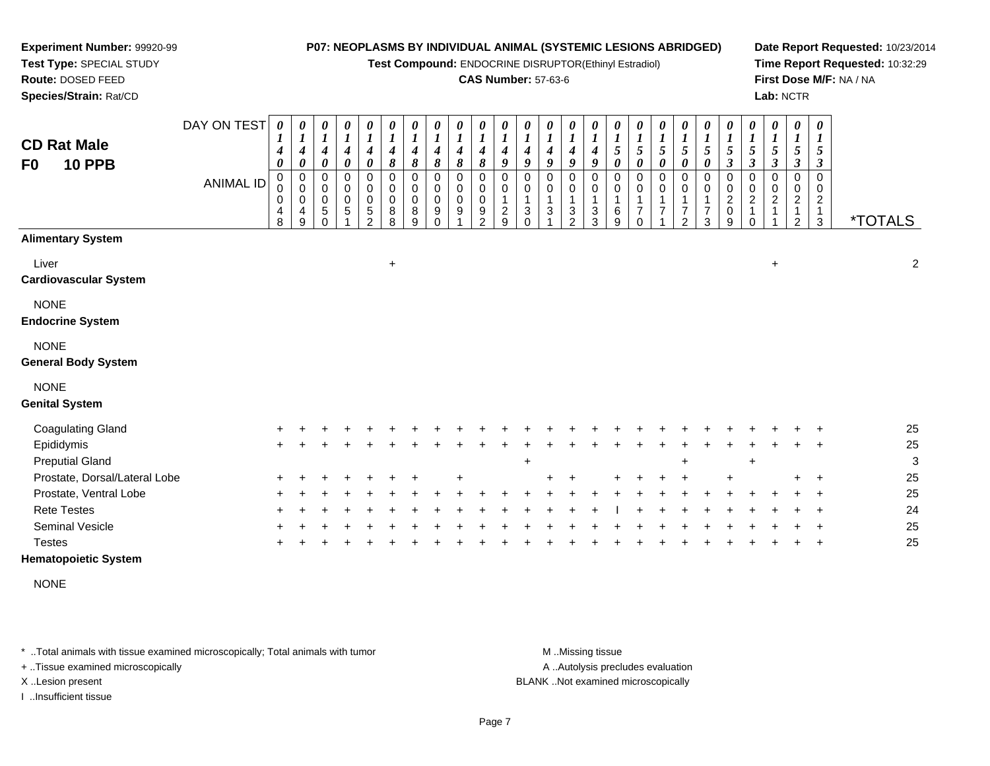**Test Compound:** ENDOCRINE DISRUPTOR(Ethinyl Estradiol)

## **CAS Number:** 57-63-6

**Date Report Requested:** 10/23/2014**Time Report Requested:** 10:32:29**First Dose M/F:** NA / NA**Lab:** NCTR

| <b>CD Rat Male</b><br><b>10 PPB</b><br>F <sub>0</sub> | DAY ON TEST<br><b>ANIMAL ID</b> | 0<br>1<br>$\boldsymbol{4}$<br>$\boldsymbol{\theta}$<br>$\mathbf 0$<br>$\mathbf 0$<br>0<br>4<br>8 | 0<br>$\boldsymbol{l}$<br>$\boldsymbol{4}$<br>$\boldsymbol{\theta}$<br>$\pmb{0}$<br>$\mathsf 0$<br>$\mathbf 0$<br>4<br>$\boldsymbol{9}$ | 0<br>$\boldsymbol{l}$<br>$\boldsymbol{4}$<br>$\boldsymbol{\theta}$<br>$\pmb{0}$<br>$\mathbf 0$<br>$\mathbf 0$<br>5<br>$\Omega$ | $\pmb{\theta}$<br>$\boldsymbol{l}$<br>$\boldsymbol{4}$<br>$\pmb{\theta}$<br>$\pmb{0}$<br>$\mathsf 0$<br>$\pmb{0}$<br>5 | 0<br>$\boldsymbol{l}$<br>$\boldsymbol{4}$<br>$\pmb{\theta}$<br>0<br>$\mathbf 0$<br>0<br>5<br>$\overline{2}$ | 0<br>$\boldsymbol{l}$<br>$\boldsymbol{4}$<br>8<br>$\pmb{0}$<br>$\pmb{0}$<br>$\pmb{0}$<br>8<br>8 | $\pmb{\theta}$<br>$\boldsymbol{l}$<br>4<br>8<br>$\pmb{0}$<br>$\pmb{0}$<br>$\pmb{0}$<br>8<br>9 | $\pmb{\theta}$<br>$\boldsymbol{l}$<br>$\boldsymbol{4}$<br>$\pmb{8}$<br>$\pmb{0}$<br>$\pmb{0}$<br>$\mathbf 0$<br>$\boldsymbol{9}$<br>$\Omega$ | $\boldsymbol{\theta}$<br>$\boldsymbol{l}$<br>$\boldsymbol{4}$<br>$\pmb{8}$<br>$\mathbf 0$<br>$\mathbf 0$<br>$\pmb{0}$<br>9 | 0<br>$\boldsymbol{l}$<br>4<br>8<br>0<br>0<br>$\mathbf 0$<br>9<br>$\mathcal{P}$ | 0<br>1<br>4<br>9<br>$\Omega$<br>0<br>1<br>$\overline{c}$<br>$\mathbf{Q}$ | 0<br>1<br>$\boldsymbol{4}$<br>9<br>$\Omega$<br>0<br>1<br>3<br>$\Omega$ | 0<br>1<br>$\boldsymbol{4}$<br>9<br>0<br>0<br>1<br>3 | 0<br>1<br>$\boldsymbol{4}$<br>9<br>0<br>$\mathbf 0$<br>$\overline{1}$<br>3<br>$\overline{2}$ | $\pmb{\theta}$<br>$\boldsymbol{l}$<br>$\boldsymbol{4}$<br>9<br>0<br>0<br>1<br>3<br>$\mathbf{3}$ | 0<br>$\boldsymbol{l}$<br>5<br>$\pmb{\theta}$<br>0<br>$\mathbf 0$<br>$\mathbf{1}$<br>6<br>9 | 0<br>$\boldsymbol{l}$<br>$\sqrt{5}$<br>$\pmb{\theta}$<br>0<br>0<br>$\mathbf 1$<br>$\overline{7}$<br>$\Omega$ | 0<br>$\boldsymbol{l}$<br>5<br>$\boldsymbol{\theta}$<br>0<br>0<br>1<br>7 | $\boldsymbol{\theta}$<br>1<br>$\sqrt{5}$<br>$\boldsymbol{\theta}$<br>$\pmb{0}$<br>$\mathbf 0$<br>7<br>$\mathfrak{D}$ | 0<br>$\boldsymbol{l}$<br>$\mathfrak{s}$<br>$\boldsymbol{\theta}$<br>0<br>0<br>1<br>$\overline{7}$<br>3 | $\boldsymbol{\theta}$<br>$\boldsymbol{l}$<br>$\sqrt{5}$<br>$\boldsymbol{\beta}$<br>0<br>$\pmb{0}$<br>$\sqrt{2}$<br>$\pmb{0}$<br>$\boldsymbol{9}$ | 0<br>$\boldsymbol{l}$<br>5<br>$\mathfrak{z}$<br>$\mathbf 0$<br>$\mathbf 0$<br>$\overline{c}$<br>$\mathbf{1}$<br>$\Omega$ | 0<br>$\boldsymbol{l}$<br>5<br>$\boldsymbol{\beta}$<br>$\pmb{0}$<br>$\mathbf 0$<br>$\overline{c}$ | $\boldsymbol{\theta}$<br>$\boldsymbol{l}$<br>$5\overline{)}$<br>$\boldsymbol{\beta}$<br>0<br>0<br>$\overline{c}$<br>1<br>$\overline{a}$ | 0<br>$\boldsymbol{l}$<br>5<br>$\boldsymbol{\beta}$<br>$\Omega$<br>0<br>$\overline{c}$<br>$\mathbf{1}$<br>$\mathfrak{S}$ | <i><b>*TOTALS</b></i> |
|-------------------------------------------------------|---------------------------------|--------------------------------------------------------------------------------------------------|----------------------------------------------------------------------------------------------------------------------------------------|--------------------------------------------------------------------------------------------------------------------------------|------------------------------------------------------------------------------------------------------------------------|-------------------------------------------------------------------------------------------------------------|-------------------------------------------------------------------------------------------------|-----------------------------------------------------------------------------------------------|----------------------------------------------------------------------------------------------------------------------------------------------|----------------------------------------------------------------------------------------------------------------------------|--------------------------------------------------------------------------------|--------------------------------------------------------------------------|------------------------------------------------------------------------|-----------------------------------------------------|----------------------------------------------------------------------------------------------|-------------------------------------------------------------------------------------------------|--------------------------------------------------------------------------------------------|--------------------------------------------------------------------------------------------------------------|-------------------------------------------------------------------------|----------------------------------------------------------------------------------------------------------------------|--------------------------------------------------------------------------------------------------------|--------------------------------------------------------------------------------------------------------------------------------------------------|--------------------------------------------------------------------------------------------------------------------------|--------------------------------------------------------------------------------------------------|-----------------------------------------------------------------------------------------------------------------------------------------|-------------------------------------------------------------------------------------------------------------------------|-----------------------|
| <b>Alimentary System</b>                              |                                 |                                                                                                  |                                                                                                                                        |                                                                                                                                |                                                                                                                        |                                                                                                             |                                                                                                 |                                                                                               |                                                                                                                                              |                                                                                                                            |                                                                                |                                                                          |                                                                        |                                                     |                                                                                              |                                                                                                 |                                                                                            |                                                                                                              |                                                                         |                                                                                                                      |                                                                                                        |                                                                                                                                                  |                                                                                                                          |                                                                                                  |                                                                                                                                         |                                                                                                                         |                       |
| Liver<br><b>Cardiovascular System</b>                 |                                 |                                                                                                  |                                                                                                                                        |                                                                                                                                |                                                                                                                        |                                                                                                             | $\ddot{}$                                                                                       |                                                                                               |                                                                                                                                              |                                                                                                                            |                                                                                |                                                                          |                                                                        |                                                     |                                                                                              |                                                                                                 |                                                                                            |                                                                                                              |                                                                         |                                                                                                                      |                                                                                                        |                                                                                                                                                  |                                                                                                                          | $\ddot{}$                                                                                        |                                                                                                                                         |                                                                                                                         | $\boldsymbol{2}$      |
| <b>NONE</b><br><b>Endocrine System</b>                |                                 |                                                                                                  |                                                                                                                                        |                                                                                                                                |                                                                                                                        |                                                                                                             |                                                                                                 |                                                                                               |                                                                                                                                              |                                                                                                                            |                                                                                |                                                                          |                                                                        |                                                     |                                                                                              |                                                                                                 |                                                                                            |                                                                                                              |                                                                         |                                                                                                                      |                                                                                                        |                                                                                                                                                  |                                                                                                                          |                                                                                                  |                                                                                                                                         |                                                                                                                         |                       |
| <b>NONE</b>                                           |                                 |                                                                                                  |                                                                                                                                        |                                                                                                                                |                                                                                                                        |                                                                                                             |                                                                                                 |                                                                                               |                                                                                                                                              |                                                                                                                            |                                                                                |                                                                          |                                                                        |                                                     |                                                                                              |                                                                                                 |                                                                                            |                                                                                                              |                                                                         |                                                                                                                      |                                                                                                        |                                                                                                                                                  |                                                                                                                          |                                                                                                  |                                                                                                                                         |                                                                                                                         |                       |
| <b>General Body System</b>                            |                                 |                                                                                                  |                                                                                                                                        |                                                                                                                                |                                                                                                                        |                                                                                                             |                                                                                                 |                                                                                               |                                                                                                                                              |                                                                                                                            |                                                                                |                                                                          |                                                                        |                                                     |                                                                                              |                                                                                                 |                                                                                            |                                                                                                              |                                                                         |                                                                                                                      |                                                                                                        |                                                                                                                                                  |                                                                                                                          |                                                                                                  |                                                                                                                                         |                                                                                                                         |                       |
| <b>NONE</b>                                           |                                 |                                                                                                  |                                                                                                                                        |                                                                                                                                |                                                                                                                        |                                                                                                             |                                                                                                 |                                                                                               |                                                                                                                                              |                                                                                                                            |                                                                                |                                                                          |                                                                        |                                                     |                                                                                              |                                                                                                 |                                                                                            |                                                                                                              |                                                                         |                                                                                                                      |                                                                                                        |                                                                                                                                                  |                                                                                                                          |                                                                                                  |                                                                                                                                         |                                                                                                                         |                       |
| <b>Genital System</b>                                 |                                 |                                                                                                  |                                                                                                                                        |                                                                                                                                |                                                                                                                        |                                                                                                             |                                                                                                 |                                                                                               |                                                                                                                                              |                                                                                                                            |                                                                                |                                                                          |                                                                        |                                                     |                                                                                              |                                                                                                 |                                                                                            |                                                                                                              |                                                                         |                                                                                                                      |                                                                                                        |                                                                                                                                                  |                                                                                                                          |                                                                                                  |                                                                                                                                         |                                                                                                                         |                       |
| <b>Coagulating Gland</b>                              |                                 |                                                                                                  |                                                                                                                                        |                                                                                                                                |                                                                                                                        |                                                                                                             |                                                                                                 |                                                                                               |                                                                                                                                              |                                                                                                                            |                                                                                |                                                                          |                                                                        |                                                     |                                                                                              |                                                                                                 |                                                                                            |                                                                                                              |                                                                         |                                                                                                                      |                                                                                                        |                                                                                                                                                  |                                                                                                                          |                                                                                                  |                                                                                                                                         |                                                                                                                         | 25                    |
| Epididymis                                            |                                 |                                                                                                  |                                                                                                                                        |                                                                                                                                |                                                                                                                        |                                                                                                             |                                                                                                 |                                                                                               |                                                                                                                                              |                                                                                                                            |                                                                                |                                                                          |                                                                        |                                                     |                                                                                              |                                                                                                 |                                                                                            |                                                                                                              |                                                                         |                                                                                                                      |                                                                                                        |                                                                                                                                                  |                                                                                                                          |                                                                                                  |                                                                                                                                         |                                                                                                                         | 25                    |
| <b>Preputial Gland</b>                                |                                 |                                                                                                  |                                                                                                                                        |                                                                                                                                |                                                                                                                        |                                                                                                             |                                                                                                 |                                                                                               |                                                                                                                                              |                                                                                                                            |                                                                                |                                                                          | $\ddot{}$                                                              |                                                     |                                                                                              |                                                                                                 |                                                                                            |                                                                                                              |                                                                         |                                                                                                                      |                                                                                                        |                                                                                                                                                  | $\ddot{}$                                                                                                                |                                                                                                  |                                                                                                                                         |                                                                                                                         | 3                     |
| Prostate, Dorsal/Lateral Lobe                         |                                 |                                                                                                  |                                                                                                                                        |                                                                                                                                |                                                                                                                        |                                                                                                             |                                                                                                 |                                                                                               |                                                                                                                                              | $\ddot{}$                                                                                                                  |                                                                                |                                                                          |                                                                        |                                                     |                                                                                              |                                                                                                 |                                                                                            |                                                                                                              |                                                                         |                                                                                                                      |                                                                                                        |                                                                                                                                                  |                                                                                                                          |                                                                                                  |                                                                                                                                         |                                                                                                                         | 25                    |
| Prostate, Ventral Lobe                                |                                 |                                                                                                  |                                                                                                                                        |                                                                                                                                |                                                                                                                        |                                                                                                             |                                                                                                 |                                                                                               |                                                                                                                                              |                                                                                                                            |                                                                                |                                                                          |                                                                        |                                                     |                                                                                              |                                                                                                 |                                                                                            |                                                                                                              |                                                                         |                                                                                                                      |                                                                                                        |                                                                                                                                                  |                                                                                                                          |                                                                                                  |                                                                                                                                         |                                                                                                                         | 25                    |
| <b>Rete Testes</b>                                    |                                 |                                                                                                  |                                                                                                                                        |                                                                                                                                |                                                                                                                        |                                                                                                             |                                                                                                 |                                                                                               |                                                                                                                                              |                                                                                                                            |                                                                                |                                                                          |                                                                        |                                                     |                                                                                              |                                                                                                 |                                                                                            |                                                                                                              |                                                                         |                                                                                                                      |                                                                                                        |                                                                                                                                                  |                                                                                                                          |                                                                                                  |                                                                                                                                         |                                                                                                                         | 24                    |
| <b>Seminal Vesicle</b>                                |                                 |                                                                                                  |                                                                                                                                        |                                                                                                                                |                                                                                                                        |                                                                                                             |                                                                                                 |                                                                                               |                                                                                                                                              |                                                                                                                            |                                                                                |                                                                          |                                                                        |                                                     |                                                                                              |                                                                                                 |                                                                                            |                                                                                                              |                                                                         |                                                                                                                      |                                                                                                        |                                                                                                                                                  |                                                                                                                          |                                                                                                  |                                                                                                                                         |                                                                                                                         | 25                    |
| <b>Testes</b>                                         |                                 |                                                                                                  |                                                                                                                                        |                                                                                                                                |                                                                                                                        |                                                                                                             |                                                                                                 |                                                                                               |                                                                                                                                              |                                                                                                                            |                                                                                |                                                                          |                                                                        |                                                     |                                                                                              |                                                                                                 |                                                                                            |                                                                                                              |                                                                         |                                                                                                                      |                                                                                                        |                                                                                                                                                  |                                                                                                                          |                                                                                                  |                                                                                                                                         |                                                                                                                         | 25                    |
| <b>Hematopoietic System</b>                           |                                 |                                                                                                  |                                                                                                                                        |                                                                                                                                |                                                                                                                        |                                                                                                             |                                                                                                 |                                                                                               |                                                                                                                                              |                                                                                                                            |                                                                                |                                                                          |                                                                        |                                                     |                                                                                              |                                                                                                 |                                                                                            |                                                                                                              |                                                                         |                                                                                                                      |                                                                                                        |                                                                                                                                                  |                                                                                                                          |                                                                                                  |                                                                                                                                         |                                                                                                                         |                       |

NONE

\* ..Total animals with tissue examined microscopically; Total animals with tumor **M** . Missing tissue M ..Missing tissue

+ ..Tissue examined microscopically

**Experiment Number:** 99920-99**Test Type:** SPECIAL STUDY**Route:** DOSED FEED**Species/Strain:** Rat/CD

I ..Insufficient tissue

A ..Autolysis precludes evaluation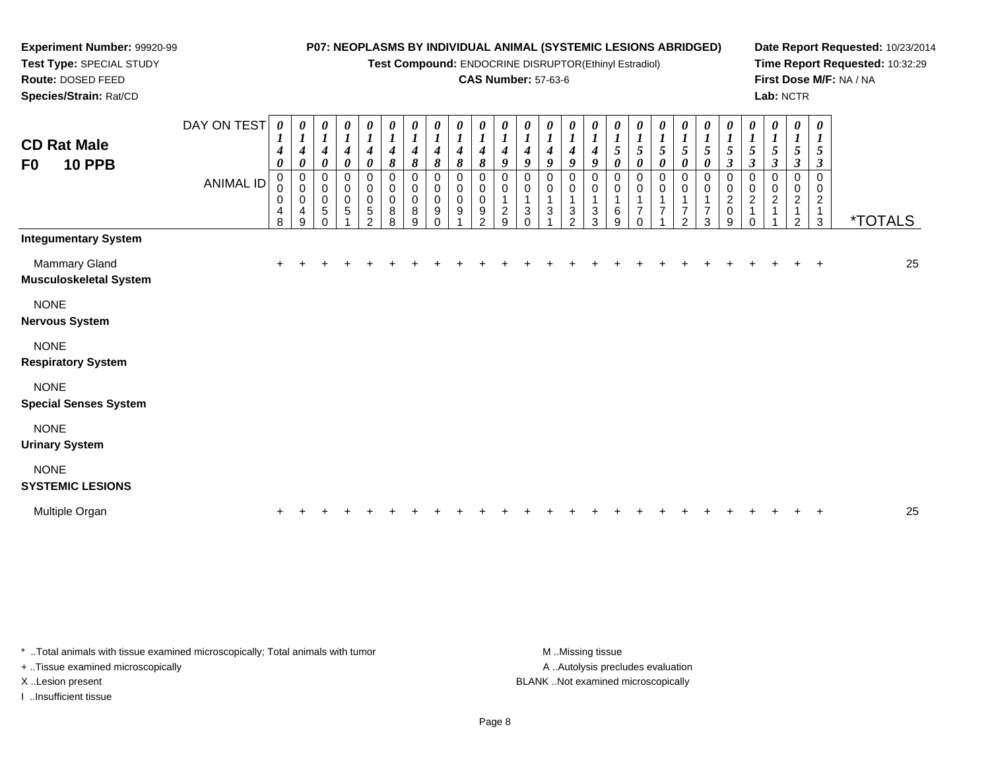**Test Compound:** ENDOCRINE DISRUPTOR(Ethinyl Estradiol)

#### **CAS Number:** 57-63-6

**Date Report Requested:** 10/23/2014**Time Report Requested:** 10:32:29**First Dose M/F:** NA / NA**Lab:** NCTR

3 \*TOTALS

DAY ON TEST**CD Rat Male F0 10 PPB**ANIMAL ID*0 1 4 0* 0 0 0 4 8*0 1 4 0* 0 0 0 4 9*0 1 4 0* 0 0 0 5 0*0 1 4 0* 0 0 0 5 1*0 1 4 0* 0 0 0 5 2*0 1 4 8* 0 0 0 8 8*0 1 4 8* 0 0 0 8 9*0 1 4 8* 0 0 0 9 0*0 1 4 8* 0 0 0 9 1*0 1 4 8* 0 0 0 9 2*0 1 4 9* 0 0 1 2 9*0 1 4 9* 0 0 1 3 0*0 1 4 9* 0 0 1 3 1*0 1 4 9* 0 0 1 3 2*0 1 4 9* 0 0 1 3 3*0 1 5 0* 0 0 1 6 9*0 1 5 0* 0 0 1 7 0*0 1 5 0* 0 0 1 7 1*0 1 5 0* 0 0 1 7 2*0 1 5 0* 0 0 1 7 3*0 1 5 3* 0 0 2 0 9*0 1 5 3* 0 0 2 1 0**Integumentary System**Mammary Glandd  $+$  <sup>+</sup> <sup>+</sup> <sup>+</sup> <sup>+</sup> <sup>+</sup> <sup>+</sup> <sup>+</sup> <sup>+</sup> <sup>+</sup> <sup>+</sup> <sup>+</sup> <sup>+</sup> <sup>+</sup> <sup>+</sup> <sup>+</sup> <sup>+</sup> <sup>+</sup> <sup>+</sup> <sup>+</sup> <sup>+</sup> <sup>+</sup> <sup>+</sup> <sup>+</sup> <sup>+</sup> <sup>25</sup> **Musculoskeletal System**NONE **Nervous System**NONE**Respiratory System**

**NONE Special Senses System**NONE **Urinary System**NONE **SYSTEMIC LESIONS**Multiple Organn  $+$ <sup>+</sup> <sup>+</sup> <sup>+</sup> <sup>+</sup> <sup>+</sup> <sup>+</sup> <sup>+</sup> <sup>+</sup> <sup>+</sup> <sup>+</sup> <sup>+</sup> <sup>+</sup> <sup>+</sup> <sup>+</sup> <sup>+</sup> <sup>+</sup> <sup>+</sup> <sup>+</sup> <sup>+</sup> <sup>+</sup> <sup>+</sup> <sup>+</sup> <sup>+</sup> <sup>+</sup> <sup>25</sup>

\* ..Total animals with tissue examined microscopically; Total animals with tumor M ...Missing tissue M ...Missing tissue

+ ..Tissue examined microscopically

**Experiment Number:** 99920-99**Test Type:** SPECIAL STUDY**Route:** DOSED FEED**Species/Strain:** Rat/CD

I ..Insufficient tissue

A ..Autolysis precludes evaluation X ..Lesion present BLANK ..Not examined microscopically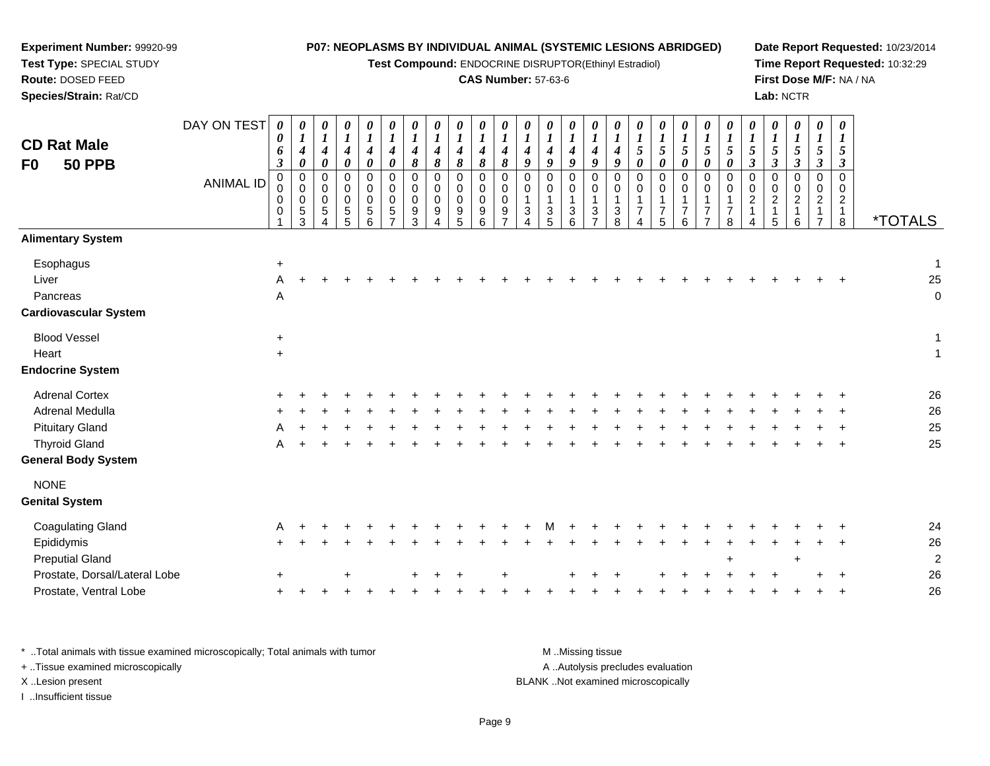| Experiment Number: 99920-99     |                  |                       |                                      |                                      |                                      |                                      |                                      |                                      |                                      |                                      |                                                       |                                      |                                      |                                      |                                      |                                      |                                      |                       |                       | P07: NEOPLASMS BY INDIVIDUAL ANIMAL (SYSTEMIC LESIONS ABRIDGED) |                                  |                       |                                    |                            |                                |                               |                                     | Date Report Requested: 10/23/2014 |
|---------------------------------|------------------|-----------------------|--------------------------------------|--------------------------------------|--------------------------------------|--------------------------------------|--------------------------------------|--------------------------------------|--------------------------------------|--------------------------------------|-------------------------------------------------------|--------------------------------------|--------------------------------------|--------------------------------------|--------------------------------------|--------------------------------------|--------------------------------------|-----------------------|-----------------------|-----------------------------------------------------------------|----------------------------------|-----------------------|------------------------------------|----------------------------|--------------------------------|-------------------------------|-------------------------------------|-----------------------------------|
| Test Type: SPECIAL STUDY        |                  |                       |                                      |                                      |                                      |                                      |                                      |                                      |                                      |                                      | Test Compound: ENDOCRINE DISRUPTOR(Ethinyl Estradiol) |                                      |                                      |                                      |                                      |                                      |                                      |                       |                       |                                                                 |                                  |                       |                                    |                            |                                |                               |                                     | Time Report Requested: 10:32:29   |
| Route: DOSED FEED               |                  |                       |                                      |                                      |                                      |                                      |                                      |                                      |                                      |                                      | <b>CAS Number: 57-63-6</b>                            |                                      |                                      |                                      |                                      |                                      |                                      |                       |                       |                                                                 |                                  |                       |                                    |                            |                                |                               |                                     | First Dose M/F: NA / NA           |
| Species/Strain: Rat/CD          |                  |                       |                                      |                                      |                                      |                                      |                                      |                                      |                                      |                                      |                                                       |                                      |                                      |                                      |                                      |                                      |                                      |                       |                       |                                                                 |                                  |                       |                                    | Lab: NCTR                  |                                |                               |                                     |                                   |
|                                 | DAY ON TEST      | $\boldsymbol{\theta}$ | 0                                    | 0                                    | $\boldsymbol{\theta}$                | 0                                    | 0                                    | 0                                    | 0                                    | 0                                    | 0                                                     |                                      | 0                                    | 0                                    | 0                                    | 0                                    | 0                                    |                       | 0                     | 0                                                               | 0                                | 0                     | 0                                  | 0                          | 0                              | 0                             | 0                                   |                                   |
| <b>CD Rat Male</b>              |                  | 0<br>6                | $\boldsymbol{l}$<br>$\boldsymbol{4}$ | $\boldsymbol{I}$<br>$\boldsymbol{4}$ | $\boldsymbol{I}$<br>$\boldsymbol{4}$ | $\boldsymbol{l}$<br>$\boldsymbol{4}$ | $\boldsymbol{l}$<br>$\boldsymbol{4}$ | $\boldsymbol{l}$<br>$\boldsymbol{4}$ | $\boldsymbol{l}$<br>$\boldsymbol{4}$ | $\boldsymbol{l}$<br>$\boldsymbol{4}$ | $\boldsymbol{l}$<br>$\boldsymbol{4}$                  | $\boldsymbol{l}$<br>$\boldsymbol{4}$ | $\boldsymbol{l}$<br>$\boldsymbol{4}$ | $\boldsymbol{l}$<br>$\boldsymbol{4}$ | $\boldsymbol{l}$<br>$\boldsymbol{4}$ | $\boldsymbol{l}$<br>$\boldsymbol{4}$ | $\boldsymbol{l}$<br>$\boldsymbol{4}$ | $\boldsymbol{l}$<br>5 | $\boldsymbol{l}$<br>5 | $\boldsymbol{l}$<br>5                                           | $\boldsymbol{l}$<br>5            | $\boldsymbol{l}$<br>5 | $\boldsymbol{l}$<br>$\overline{5}$ | $\boldsymbol{l}$<br>5      | $\boldsymbol{l}$<br>$\sqrt{5}$ | $\bm{l}$<br>$\overline{5}$    | $\boldsymbol{I}$<br>$5\overline{)}$ |                                   |
| <b>50 PPB</b><br>F <sub>0</sub> |                  | 3                     | $\pmb{\theta}$                       | $\boldsymbol{\theta}$                | 0                                    | $\boldsymbol{\theta}$                | 0                                    | 8                                    | $\pmb{8}$                            | $\pmb{8}$                            | 8                                                     | 8                                    | 9                                    | 9                                    | 9                                    | 9                                    | 9                                    | $\boldsymbol{\theta}$ | 0                     | $\boldsymbol{\theta}$                                           | 0                                | 0                     | $\boldsymbol{\beta}$               | $\overline{\mathbf{3}}$    | $\mathfrak{z}$                 | $\boldsymbol{\beta}$          | $\boldsymbol{\beta}$                |                                   |
|                                 | <b>ANIMAL ID</b> | $\Omega$              | 0                                    | $\mathbf 0$                          | $\Omega$                             | $\Omega$                             | $\Omega$                             | $\Omega$                             | $\Omega$                             | $\mathbf 0$                          | $\Omega$                                              | $\mathbf 0$                          | $\mathsf 0$                          | $\mathbf 0$                          | $\Omega$                             | $\Omega$                             | $\Omega$                             | $\Omega$              | $\mathbf 0$           | $\Omega$                                                        | $\Omega$                         | $\Omega$              | $\Omega$                           | $\mathbf 0$                | $\mathbf 0$                    | $\Omega$                      | $\mathbf 0$                         |                                   |
|                                 |                  | $\Omega$<br>$\Omega$  | 0<br>0                               | $\mathbf 0$<br>$\mathbf 0$           | $\Omega$<br>$\Omega$                 | $\Omega$<br>$\mathbf 0$              | $\Omega$<br>$\Omega$                 | $\Omega$<br>$\Omega$                 | $\Omega$<br>$\Omega$                 | $\mathbf 0$<br>$\mathbf 0$           | 0<br>$\mathbf 0$                                      | $\Omega$<br>$\Omega$                 | $\mathbf 0$                          | $\mathbf 0$<br>$\mathbf{1}$          | $\mathbf 0$<br>$\mathbf{1}$          | $\mathbf 0$<br>1                     | 0<br>$\mathbf{1}$                    | $\Omega$<br>1         | $\mathbf 0$           | $\Omega$                                                        | $\mathbf 0$<br>$\mathbf{1}$      | 0<br>1                | $\mathbf 0$<br>$\boldsymbol{2}$    | $\Omega$<br>$\overline{c}$ | $\pmb{0}$<br>$\overline{2}$    | $\mathbf 0$<br>$\overline{2}$ | $\mathbf 0$<br>$\overline{2}$       |                                   |
|                                 |                  | 0                     | $\frac{5}{3}$                        | 5<br>Δ                               | 5<br>5                               | 5<br>6                               | 5                                    | 9<br>3                               | 9                                    | 9<br>$\overline{5}$                  | 9<br>6                                                | 9                                    | $\mathbf{3}$                         | $\frac{3}{5}$                        | 3<br>6                               | 3<br>$\overline{7}$                  | $\frac{3}{8}$                        | $\overline{7}$        | $\overline{7}$<br>5   | $\overline{7}$<br>6                                             | $\overline{7}$<br>$\overline{7}$ | $\overline{7}$<br>8   | $\overline{1}$<br>4                | $\mathbf{1}$<br>5          | $\mathbf{1}$<br>6              | -1<br>$\overline{7}$          | $\mathbf{1}$<br>8                   | <i><b>*TOTALS</b></i>             |
| <b>Alimentary System</b>        |                  |                       |                                      |                                      |                                      |                                      |                                      |                                      |                                      |                                      |                                                       |                                      |                                      |                                      |                                      |                                      |                                      |                       |                       |                                                                 |                                  |                       |                                    |                            |                                |                               |                                     |                                   |
| Esophagus                       |                  | +                     |                                      |                                      |                                      |                                      |                                      |                                      |                                      |                                      |                                                       |                                      |                                      |                                      |                                      |                                      |                                      |                       |                       |                                                                 |                                  |                       |                                    |                            |                                |                               |                                     |                                   |
| Liver                           |                  | A                     |                                      |                                      |                                      |                                      |                                      |                                      |                                      |                                      |                                                       |                                      |                                      |                                      |                                      |                                      |                                      |                       |                       |                                                                 |                                  |                       |                                    |                            |                                |                               |                                     | 25                                |
| Pancreas                        |                  | Α                     |                                      |                                      |                                      |                                      |                                      |                                      |                                      |                                      |                                                       |                                      |                                      |                                      |                                      |                                      |                                      |                       |                       |                                                                 |                                  |                       |                                    |                            |                                |                               |                                     | O                                 |
| <b>Cardiovascular System</b>    |                  |                       |                                      |                                      |                                      |                                      |                                      |                                      |                                      |                                      |                                                       |                                      |                                      |                                      |                                      |                                      |                                      |                       |                       |                                                                 |                                  |                       |                                    |                            |                                |                               |                                     |                                   |
| <b>Blood Vessel</b>             |                  | $\ddot{}$             |                                      |                                      |                                      |                                      |                                      |                                      |                                      |                                      |                                                       |                                      |                                      |                                      |                                      |                                      |                                      |                       |                       |                                                                 |                                  |                       |                                    |                            |                                |                               |                                     | 1                                 |
| Heart                           |                  | $\ddot{}$             |                                      |                                      |                                      |                                      |                                      |                                      |                                      |                                      |                                                       |                                      |                                      |                                      |                                      |                                      |                                      |                       |                       |                                                                 |                                  |                       |                                    |                            |                                |                               |                                     | 1                                 |
| <b>Endocrine System</b>         |                  |                       |                                      |                                      |                                      |                                      |                                      |                                      |                                      |                                      |                                                       |                                      |                                      |                                      |                                      |                                      |                                      |                       |                       |                                                                 |                                  |                       |                                    |                            |                                |                               |                                     |                                   |
| <b>Adrenal Cortex</b>           |                  |                       |                                      |                                      |                                      |                                      |                                      |                                      |                                      |                                      |                                                       |                                      |                                      |                                      |                                      |                                      |                                      |                       |                       |                                                                 |                                  |                       |                                    |                            |                                |                               |                                     | 26                                |
| Adrenal Medulla                 |                  |                       |                                      |                                      |                                      |                                      |                                      |                                      |                                      |                                      |                                                       |                                      |                                      |                                      |                                      |                                      |                                      |                       |                       |                                                                 |                                  |                       |                                    |                            |                                |                               |                                     | 26                                |
| <b>Pituitary Gland</b>          |                  |                       |                                      |                                      |                                      |                                      |                                      |                                      |                                      |                                      |                                                       |                                      |                                      |                                      |                                      |                                      |                                      |                       |                       |                                                                 |                                  |                       |                                    |                            |                                |                               |                                     | 25                                |
| <b>Thyroid Gland</b>            |                  |                       |                                      |                                      |                                      |                                      |                                      |                                      |                                      |                                      |                                                       |                                      |                                      |                                      |                                      |                                      |                                      |                       |                       |                                                                 |                                  |                       |                                    |                            |                                |                               |                                     | 25                                |
| <b>General Body System</b>      |                  |                       |                                      |                                      |                                      |                                      |                                      |                                      |                                      |                                      |                                                       |                                      |                                      |                                      |                                      |                                      |                                      |                       |                       |                                                                 |                                  |                       |                                    |                            |                                |                               |                                     |                                   |
| <b>NONE</b>                     |                  |                       |                                      |                                      |                                      |                                      |                                      |                                      |                                      |                                      |                                                       |                                      |                                      |                                      |                                      |                                      |                                      |                       |                       |                                                                 |                                  |                       |                                    |                            |                                |                               |                                     |                                   |
| <b>Genital System</b>           |                  |                       |                                      |                                      |                                      |                                      |                                      |                                      |                                      |                                      |                                                       |                                      |                                      |                                      |                                      |                                      |                                      |                       |                       |                                                                 |                                  |                       |                                    |                            |                                |                               |                                     |                                   |
| <b>Coagulating Gland</b>        |                  |                       |                                      |                                      |                                      |                                      |                                      |                                      |                                      |                                      |                                                       |                                      |                                      |                                      |                                      |                                      |                                      |                       |                       |                                                                 |                                  |                       |                                    |                            |                                |                               |                                     | 24                                |
| Epididymis                      |                  |                       |                                      |                                      |                                      |                                      |                                      |                                      |                                      |                                      |                                                       |                                      |                                      |                                      |                                      |                                      |                                      |                       |                       |                                                                 |                                  |                       |                                    |                            |                                |                               |                                     | 26                                |
| <b>Preputial Gland</b>          |                  |                       |                                      |                                      |                                      |                                      |                                      |                                      |                                      |                                      |                                                       |                                      |                                      |                                      |                                      |                                      |                                      |                       |                       |                                                                 |                                  |                       |                                    |                            |                                |                               |                                     | 2                                 |
| Prostate, Dorsal/Lateral Lobe   |                  |                       |                                      |                                      |                                      |                                      |                                      |                                      |                                      |                                      |                                                       |                                      |                                      |                                      |                                      |                                      |                                      |                       |                       |                                                                 |                                  |                       |                                    |                            |                                |                               |                                     | 26                                |
| Prostate, Ventral Lobe          |                  |                       |                                      |                                      |                                      |                                      |                                      |                                      |                                      |                                      |                                                       |                                      |                                      |                                      |                                      |                                      |                                      |                       |                       |                                                                 |                                  |                       |                                    |                            |                                |                               |                                     | 26                                |

\* ..Total animals with tissue examined microscopically; Total animals with tumor **M** . Missing tissue M ..Missing tissue A ..Autolysis precludes evaluation + ..Tissue examined microscopically X ..Lesion present BLANK ..Not examined microscopicallyI ..Insufficient tissue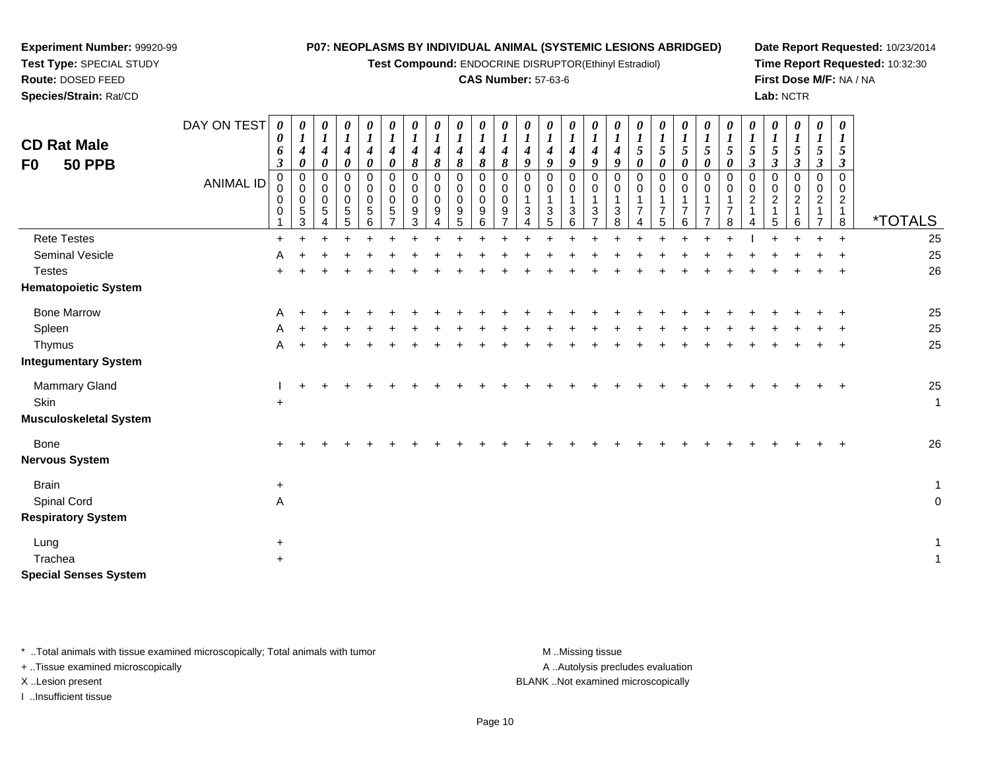**Test Compound:** ENDOCRINE DISRUPTOR(Ethinyl Estradiol)

#### **CAS Number:** 57-63-6

**Date Report Requested:** 10/23/2014**Time Report Requested:** 10:32:30**First Dose M/F:** NA / NA**Lab:** NCTR

| <b>CD Rat Male</b><br><b>50 PPB</b><br>F0 | DAY ON TEST<br><b>ANIMAL ID</b> | $\boldsymbol{\theta}$<br>0<br>6<br>$\boldsymbol{\beta}$<br>0<br>$\Omega$<br>0 | $\theta$<br>$\boldsymbol{4}$<br>0<br>0<br>$\mathbf 0$<br>$\pmb{0}$<br>$\sqrt{5}$<br>3 | 0<br>4<br>0<br>0<br>$\pmb{0}$<br>$\pmb{0}$<br>$\sqrt{5}$ | 0<br>0<br>$\pmb{0}$<br>$\pmb{0}$<br>$\overline{5}$<br>5 | $\boldsymbol{l}$<br>$\boldsymbol{4}$<br>0<br>0<br>$\pmb{0}$<br>$\pmb{0}$<br>5<br>6 | $\boldsymbol{\theta}$<br>4<br>0<br>0<br>$\pmb{0}$<br>0<br>5 | $\boldsymbol{\theta}$<br>$\boldsymbol{l}$<br>$\boldsymbol{4}$<br>8<br>0<br>$\mbox{O}$<br>$\pmb{0}$<br>$\boldsymbol{9}$<br>3 | $\theta$<br>$\boldsymbol{4}$<br>8<br>$\mathbf 0$<br>$\boldsymbol{0}$<br>$\pmb{0}$<br>9 | 8<br>$\mathbf 0$<br>0<br>9<br>5 | 8<br>$\Omega$<br>$\mathbf 0$<br>$\mathbf 0$<br>9 | 4<br>8<br>0<br>0<br>0<br>9 | 4<br>$\Omega$<br>$\mathbf 0$<br>1<br>3 | 4<br>9<br>$\Omega$<br>$\mathbf 0$<br>3 | 4<br>$\boldsymbol{0}$<br>0<br>$\mathbf 0$<br>3<br>6 | 4<br>O<br>0<br>$\pmb{0}$<br>3 | $\theta$<br>$\boldsymbol{l}$<br>$\boldsymbol{4}$<br>$\boldsymbol{q}$<br>0<br>0<br>$\sqrt{3}$<br>8 | $\boldsymbol{l}$<br>$\mathfrak{s}$<br>$\mathbf 0$<br>$\mathbf 0$<br>$\mathbf{1}$<br>$\overline{7}$ | 5<br>$\mathbf 0$<br>$\overline{ }$ | 5 | $\Omega$ | 5<br>0<br>0<br>$\Omega$<br>8 | 5<br>$\mathfrak{z}$<br>0<br>$\overline{c}$ | $\Omega$<br>$\mathbf 0$<br>2 | $\overline{c}$ | 0<br>5<br>0<br>$\mathsf 0$<br>$\overline{2}$ | $\theta$<br>5<br>3<br>0<br>$\overline{2}$<br>8 | <i><b>*TOTALS</b></i> |
|-------------------------------------------|---------------------------------|-------------------------------------------------------------------------------|---------------------------------------------------------------------------------------|----------------------------------------------------------|---------------------------------------------------------|------------------------------------------------------------------------------------|-------------------------------------------------------------|-----------------------------------------------------------------------------------------------------------------------------|----------------------------------------------------------------------------------------|---------------------------------|--------------------------------------------------|----------------------------|----------------------------------------|----------------------------------------|-----------------------------------------------------|-------------------------------|---------------------------------------------------------------------------------------------------|----------------------------------------------------------------------------------------------------|------------------------------------|---|----------|------------------------------|--------------------------------------------|------------------------------|----------------|----------------------------------------------|------------------------------------------------|-----------------------|
| <b>Rete Testes</b>                        |                                 |                                                                               |                                                                                       |                                                          |                                                         |                                                                                    |                                                             |                                                                                                                             |                                                                                        |                                 |                                                  |                            |                                        |                                        |                                                     |                               |                                                                                                   |                                                                                                    |                                    |   |          |                              |                                            |                              |                |                                              |                                                | 25                    |
| Seminal Vesicle                           |                                 | A                                                                             |                                                                                       |                                                          |                                                         |                                                                                    |                                                             |                                                                                                                             |                                                                                        |                                 |                                                  |                            |                                        |                                        |                                                     |                               |                                                                                                   |                                                                                                    |                                    |   |          |                              |                                            |                              |                |                                              |                                                | 25                    |
| <b>Testes</b>                             |                                 |                                                                               |                                                                                       |                                                          |                                                         |                                                                                    |                                                             |                                                                                                                             |                                                                                        |                                 |                                                  |                            |                                        |                                        |                                                     |                               |                                                                                                   |                                                                                                    |                                    |   |          |                              |                                            |                              |                |                                              | $\pm$                                          | 26                    |
| <b>Hematopoietic System</b>               |                                 |                                                                               |                                                                                       |                                                          |                                                         |                                                                                    |                                                             |                                                                                                                             |                                                                                        |                                 |                                                  |                            |                                        |                                        |                                                     |                               |                                                                                                   |                                                                                                    |                                    |   |          |                              |                                            |                              |                |                                              |                                                |                       |
| <b>Bone Marrow</b>                        |                                 | A                                                                             |                                                                                       |                                                          |                                                         |                                                                                    |                                                             |                                                                                                                             |                                                                                        |                                 |                                                  |                            |                                        |                                        |                                                     |                               |                                                                                                   |                                                                                                    |                                    |   |          |                              |                                            |                              |                |                                              |                                                | 25                    |
| Spleen                                    |                                 | A                                                                             |                                                                                       |                                                          |                                                         |                                                                                    |                                                             |                                                                                                                             |                                                                                        |                                 |                                                  |                            |                                        |                                        |                                                     |                               |                                                                                                   |                                                                                                    |                                    |   |          |                              |                                            |                              |                |                                              |                                                | 25                    |
| Thymus                                    |                                 | A                                                                             |                                                                                       |                                                          |                                                         |                                                                                    |                                                             |                                                                                                                             |                                                                                        |                                 |                                                  |                            |                                        |                                        |                                                     |                               |                                                                                                   |                                                                                                    |                                    |   |          |                              |                                            |                              |                |                                              | $\pm$                                          | 25                    |
| <b>Integumentary System</b>               |                                 |                                                                               |                                                                                       |                                                          |                                                         |                                                                                    |                                                             |                                                                                                                             |                                                                                        |                                 |                                                  |                            |                                        |                                        |                                                     |                               |                                                                                                   |                                                                                                    |                                    |   |          |                              |                                            |                              |                |                                              |                                                |                       |
| Mammary Gland                             |                                 |                                                                               |                                                                                       |                                                          |                                                         |                                                                                    |                                                             |                                                                                                                             |                                                                                        |                                 |                                                  |                            |                                        |                                        |                                                     |                               |                                                                                                   |                                                                                                    |                                    |   |          |                              |                                            |                              |                |                                              | $+$                                            | 25                    |
| Skin                                      |                                 | $\ddot{}$                                                                     |                                                                                       |                                                          |                                                         |                                                                                    |                                                             |                                                                                                                             |                                                                                        |                                 |                                                  |                            |                                        |                                        |                                                     |                               |                                                                                                   |                                                                                                    |                                    |   |          |                              |                                            |                              |                |                                              |                                                | $\overline{1}$        |
| <b>Musculoskeletal System</b>             |                                 |                                                                               |                                                                                       |                                                          |                                                         |                                                                                    |                                                             |                                                                                                                             |                                                                                        |                                 |                                                  |                            |                                        |                                        |                                                     |                               |                                                                                                   |                                                                                                    |                                    |   |          |                              |                                            |                              |                |                                              |                                                |                       |
| Bone<br><b>Nervous System</b>             |                                 |                                                                               |                                                                                       |                                                          |                                                         |                                                                                    |                                                             |                                                                                                                             |                                                                                        |                                 |                                                  |                            |                                        |                                        |                                                     |                               |                                                                                                   |                                                                                                    |                                    |   |          |                              |                                            |                              |                |                                              |                                                | 26                    |

Brainn  $+$  $\ddot{\phantom{a}}$ Spinal Cordd A A and the contract of the contract of the contract of the contract of the contract of the contract of the contract of the contract of the contract of the contract of the contract of the contract of the contract of the cont **Respiratory System**Lungg  $\rightarrow$  $\ddot{\phantom{a}}$ Tracheaa  $+$  $\ddot{\phantom{a}}$ **Special Senses System**

\* ..Total animals with tissue examined microscopically; Total animals with tumor **M** ...Missing tissue M ...Missing tissue

+ ..Tissue examined microscopically

**Experiment Number:** 99920-99**Test Type:** SPECIAL STUDY**Route:** DOSED FEED**Species/Strain:** Rat/CD

I ..Insufficient tissue

A ..Autolysis precludes evaluation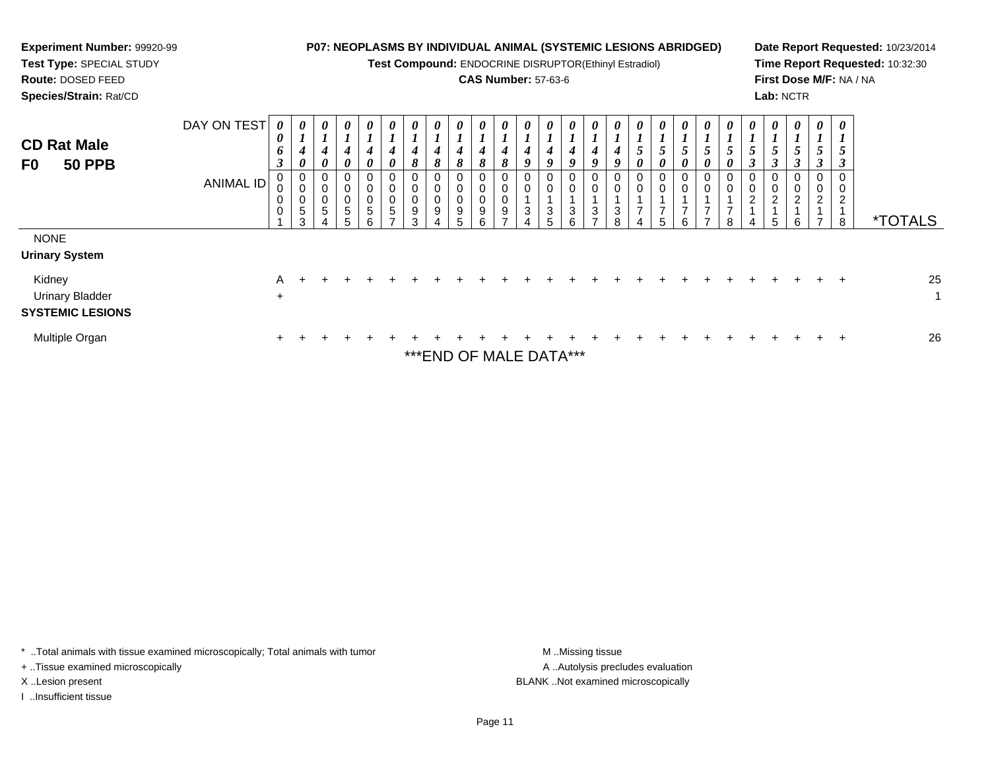| Experiment Number: 99920-99<br>Test Type: SPECIAL STUDY<br><b>Route: DOSED FEED</b><br>Species/Strain: Rat/CD |                                 |                |                                           |             |                                         |                                   |   |        |                    |                                 | <b>P07: NEOPLASMS BY INDIVIDUAL ANIMAL (SYSTEMIC LESIONS ABRIDGED)</b><br>Test Compound: ENDOCRINE DISRUPTOR(Ethinyl Estradiol)<br><b>CAS Number: 57-63-6</b> |                            |                       |        |                  |        |        |                     |               |   | Lab: NCTR                  |                       |                                                                          |               | Date Report Requested: 10/23/2014<br>Time Report Requested: 10:32:30<br>First Dose M/F: NA / NA |
|---------------------------------------------------------------------------------------------------------------|---------------------------------|----------------|-------------------------------------------|-------------|-----------------------------------------|-----------------------------------|---|--------|--------------------|---------------------------------|---------------------------------------------------------------------------------------------------------------------------------------------------------------|----------------------------|-----------------------|--------|------------------|--------|--------|---------------------|---------------|---|----------------------------|-----------------------|--------------------------------------------------------------------------|---------------|-------------------------------------------------------------------------------------------------|
| <b>CD Rat Male</b><br><b>50 PPB</b><br>F0                                                                     | DAY ON TEST<br><b>ANIMAL ID</b> | 0              | $\boldsymbol{\theta}$<br>0<br>0<br>5<br>3 | 0<br>0<br>5 | 0<br>0<br>$\mathbf 0$<br>$\pmb{0}$<br>5 | 0<br>0<br>0<br>$\Omega$<br>5<br>6 | 0 | 0<br>9 | $\theta$<br>8<br>9 | $\boldsymbol{\theta}$<br>8<br>9 | $\boldsymbol{\theta}$<br>8<br>9                                                                                                                               | $\boldsymbol{\theta}$<br>3 | 0<br>9<br>0<br>3<br>5 | 0<br>3 | 0<br>0<br>0<br>3 | 3<br>8 | 0<br>5 | 0<br>$\overline{7}$ | $\theta$<br>0 | 8 | $\boldsymbol{\theta}$<br>5 | 0<br>0<br>0<br>2<br>6 | 0<br>3<br>0<br>$\overline{\mathbf{c}}$<br>$\mathbf{1}$<br>$\overline{ }$ | $\theta$<br>8 | <i><b>*TOTALS</b></i>                                                                           |
| <b>NONE</b><br><b>Urinary System</b>                                                                          |                                 |                |                                           |             |                                         |                                   |   |        |                    |                                 |                                                                                                                                                               |                            |                       |        |                  |        |        |                     |               |   |                            |                       |                                                                          |               |                                                                                                 |
| Kidney<br><b>Urinary Bladder</b><br><b>SYSTEMIC LESIONS</b>                                                   |                                 | A<br>$\ddot{}$ |                                           |             |                                         |                                   |   |        |                    |                                 |                                                                                                                                                               |                            |                       |        |                  |        |        |                     |               |   |                            |                       |                                                                          |               | 25<br>$\mathbf{1}$                                                                              |
| Multiple Organ                                                                                                |                                 |                |                                           |             |                                         |                                   |   |        |                    |                                 | *** END OF MALE DATA***                                                                                                                                       |                            |                       |        |                  |        |        |                     |               |   |                            |                       |                                                                          |               | 26                                                                                              |

\* ..Total animals with tissue examined microscopically; Total animals with tumor M..Missing tissue M ..Missing tissue

+ ..Tissue examined microscopically

I ..Insufficient tissue

A ..Autolysis precludes evaluation X ..Lesion present BLANK ..Not examined microscopically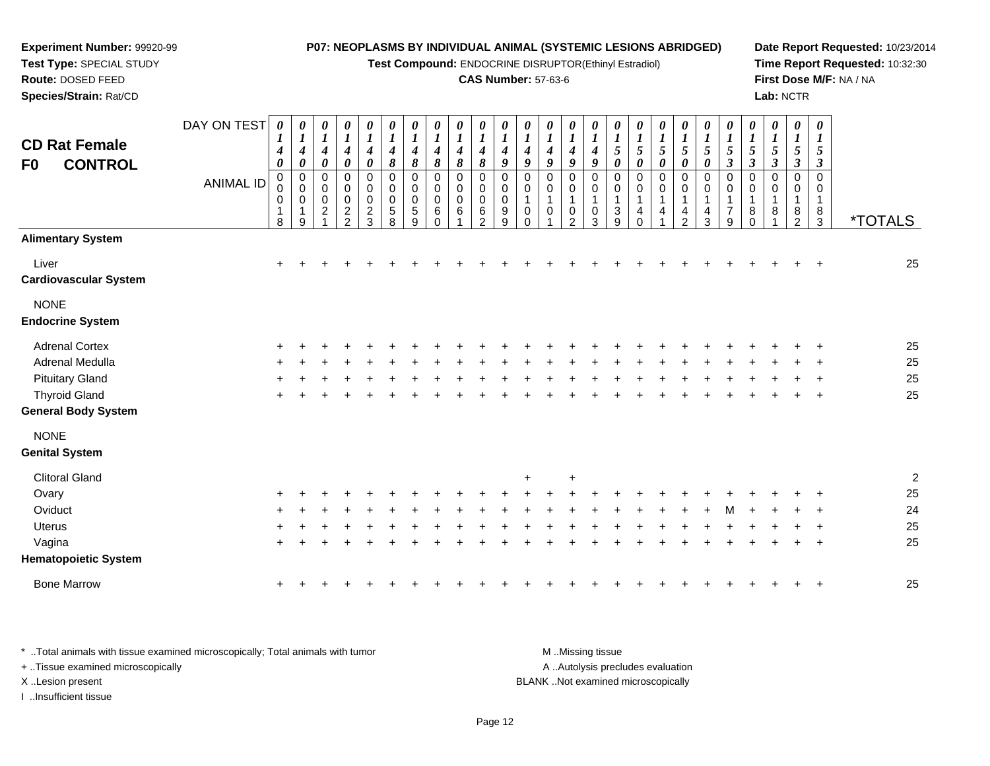**Test Compound:** ENDOCRINE DISRUPTOR(Ethinyl Estradiol)

## **CAS Number:** 57-63-6

**Date Report Requested:** 10/23/2014**Time Report Requested:** 10:32:30**First Dose M/F:** NA / NA**Lab:** NCTR

| <b>CD Rat Female</b><br><b>CONTROL</b><br>F0 | DAY ON TEST      | 4<br>0<br>$\pmb{0}$ | U<br>$\boldsymbol{l}$<br>$\boldsymbol{4}$<br>0<br>$\pmb{0}$ | 0<br>$\boldsymbol{l}$<br>$\boldsymbol{4}$<br>$\boldsymbol{\theta}$<br>0 | 0<br>$\boldsymbol{l}$<br>$\boldsymbol{4}$<br>0<br>0 | 0<br>$\boldsymbol{l}$<br>$\boldsymbol{4}$<br>0<br>0 | 0<br>$\boldsymbol{l}$<br>$\boldsymbol{4}$<br>8<br>$\mathbf 0$ | $\boldsymbol{\theta}$<br>$\boldsymbol{l}$<br>$\boldsymbol{4}$<br>$\pmb{8}$<br>$\mathbf 0$ | 0<br>$\boldsymbol{l}$<br>4<br>8<br>0 | 0<br>$\boldsymbol{l}$<br>$\boldsymbol{4}$<br>$\pmb{8}$<br>$\mathbf 0$ | 0<br>$\boldsymbol{l}$<br>4<br>8<br>$\mathbf 0$ | $\boldsymbol{\theta}$<br>1<br>4<br>9<br>$\mathbf 0$ | 0<br>$\boldsymbol{l}$<br>$\boldsymbol{4}$<br>9<br>0 | 0<br>$\boldsymbol{l}$<br>$\boldsymbol{4}$<br>9<br>$\mathbf 0$ | 0<br>$\boldsymbol{l}$<br>$\boldsymbol{4}$<br>9<br>0 | 0<br>$\boldsymbol{l}$<br>$\boldsymbol{4}$<br>9<br>$\mathbf 0$ | 0<br>$\boldsymbol{l}$<br>5<br>0<br>$\pmb{0}$ | $\boldsymbol{\theta}$<br>$\boldsymbol{l}$<br>$\mathfrak{s}$<br>$\boldsymbol{\theta}$<br>$\mathbf 0$ | $\frac{\theta}{I}$<br>5<br>0<br>$\mathbf 0$ | $\boldsymbol{\theta}$<br>$\boldsymbol{l}$<br>5<br>0<br>$\mathbf 0$ | 0<br>$\boldsymbol{l}$<br>5<br>0<br>$\mathbf 0$ | 0<br>$\boldsymbol{l}$<br>5<br>$\boldsymbol{\beta}$<br>0 | 0<br>$\boldsymbol{l}$<br>$\sqrt{5}$<br>$\boldsymbol{\beta}$<br>$\mathbf 0$ | 0<br>$\boldsymbol{l}$<br>$\mathfrak{s}$<br>$\mathfrak{z}$<br>$\mathbf 0$ | $\boldsymbol{\theta}$<br>$\boldsymbol{l}$<br>$\mathfrak{s}$<br>$\boldsymbol{\beta}$<br>$\mathbf 0$ | 0<br>$\boldsymbol{\mathit{1}}$<br>5<br>3<br>$\mathbf 0$ |                         |
|----------------------------------------------|------------------|---------------------|-------------------------------------------------------------|-------------------------------------------------------------------------|-----------------------------------------------------|-----------------------------------------------------|---------------------------------------------------------------|-------------------------------------------------------------------------------------------|--------------------------------------|-----------------------------------------------------------------------|------------------------------------------------|-----------------------------------------------------|-----------------------------------------------------|---------------------------------------------------------------|-----------------------------------------------------|---------------------------------------------------------------|----------------------------------------------|-----------------------------------------------------------------------------------------------------|---------------------------------------------|--------------------------------------------------------------------|------------------------------------------------|---------------------------------------------------------|----------------------------------------------------------------------------|--------------------------------------------------------------------------|----------------------------------------------------------------------------------------------------|---------------------------------------------------------|-------------------------|
|                                              | <b>ANIMAL ID</b> | 0<br>0<br>8         | $\mathbf 0$<br>0<br>1<br>9                                  | $\mathbf 0$<br>0<br>$\overline{c}$                                      | 0<br>$\pmb{0}$<br>$\frac{2}{2}$                     | $\pmb{0}$<br>0<br>$\frac{2}{3}$                     | $\mathbf 0$<br>$\mathbf 0$<br>5<br>8                          | $\mathbf 0$<br>0<br>5<br>9                                                                | 0<br>$\mathbf 0$<br>6<br>$\Omega$    | 0<br>0<br>6                                                           | 0<br>0<br>6<br>2                               | 0<br>0<br>9<br>9                                    | $\Omega$<br>1<br>0<br>$\Omega$                      | 0<br>1<br>0                                                   | 0<br>1<br>0<br>2                                    | 0<br>1<br>0<br>3                                              | 0<br>$\mathbf 1$<br>3<br>9                   | 0<br>1<br>4<br>$\mathbf 0$                                                                          | 0<br>4                                      | 0<br>1<br>4<br>$\overline{2}$                                      | $\mathbf 0$<br>4<br>$\mathbf{3}$               | 0<br>1<br>$\overline{7}$<br>9                           | 0<br>8<br>$\Omega$                                                         | 0<br>1<br>8                                                              | 0<br>$\mathbf{1}$<br>8<br>$\overline{2}$                                                           | 0<br>$\mathbf{1}$<br>8<br>3                             | <i><b>*TOTALS</b></i>   |
| <b>Alimentary System</b>                     |                  |                     |                                                             |                                                                         |                                                     |                                                     |                                                               |                                                                                           |                                      |                                                                       |                                                |                                                     |                                                     |                                                               |                                                     |                                                               |                                              |                                                                                                     |                                             |                                                                    |                                                |                                                         |                                                                            |                                                                          |                                                                                                    |                                                         |                         |
| Liver<br><b>Cardiovascular System</b>        |                  | $+$                 |                                                             |                                                                         |                                                     |                                                     |                                                               |                                                                                           |                                      |                                                                       |                                                |                                                     |                                                     |                                                               |                                                     |                                                               |                                              |                                                                                                     |                                             |                                                                    |                                                |                                                         |                                                                            |                                                                          |                                                                                                    |                                                         | 25                      |
| <b>NONE</b><br><b>Endocrine System</b>       |                  |                     |                                                             |                                                                         |                                                     |                                                     |                                                               |                                                                                           |                                      |                                                                       |                                                |                                                     |                                                     |                                                               |                                                     |                                                               |                                              |                                                                                                     |                                             |                                                                    |                                                |                                                         |                                                                            |                                                                          |                                                                                                    |                                                         |                         |
| <b>Adrenal Cortex</b>                        |                  |                     |                                                             |                                                                         |                                                     |                                                     |                                                               |                                                                                           |                                      |                                                                       |                                                |                                                     |                                                     |                                                               |                                                     |                                                               |                                              |                                                                                                     |                                             |                                                                    |                                                |                                                         |                                                                            |                                                                          |                                                                                                    |                                                         | 25                      |
| <b>Adrenal Medulla</b>                       |                  |                     |                                                             |                                                                         |                                                     |                                                     |                                                               |                                                                                           |                                      |                                                                       |                                                |                                                     |                                                     |                                                               |                                                     |                                                               |                                              |                                                                                                     |                                             |                                                                    |                                                |                                                         |                                                                            |                                                                          |                                                                                                    |                                                         | 25                      |
| <b>Pituitary Gland</b>                       |                  |                     |                                                             |                                                                         |                                                     |                                                     |                                                               |                                                                                           |                                      |                                                                       |                                                |                                                     |                                                     |                                                               |                                                     |                                                               |                                              |                                                                                                     |                                             |                                                                    |                                                |                                                         |                                                                            |                                                                          |                                                                                                    |                                                         | 25                      |
| <b>Thyroid Gland</b>                         |                  | $\ddot{}$           |                                                             |                                                                         |                                                     |                                                     |                                                               |                                                                                           |                                      |                                                                       |                                                |                                                     |                                                     |                                                               |                                                     |                                                               |                                              |                                                                                                     |                                             |                                                                    |                                                |                                                         |                                                                            |                                                                          |                                                                                                    | $\ddot{}$                                               | 25                      |
| <b>General Body System</b>                   |                  |                     |                                                             |                                                                         |                                                     |                                                     |                                                               |                                                                                           |                                      |                                                                       |                                                |                                                     |                                                     |                                                               |                                                     |                                                               |                                              |                                                                                                     |                                             |                                                                    |                                                |                                                         |                                                                            |                                                                          |                                                                                                    |                                                         |                         |
| <b>NONE</b>                                  |                  |                     |                                                             |                                                                         |                                                     |                                                     |                                                               |                                                                                           |                                      |                                                                       |                                                |                                                     |                                                     |                                                               |                                                     |                                                               |                                              |                                                                                                     |                                             |                                                                    |                                                |                                                         |                                                                            |                                                                          |                                                                                                    |                                                         |                         |
| <b>Genital System</b>                        |                  |                     |                                                             |                                                                         |                                                     |                                                     |                                                               |                                                                                           |                                      |                                                                       |                                                |                                                     |                                                     |                                                               |                                                     |                                                               |                                              |                                                                                                     |                                             |                                                                    |                                                |                                                         |                                                                            |                                                                          |                                                                                                    |                                                         |                         |
| <b>Clitoral Gland</b>                        |                  |                     |                                                             |                                                                         |                                                     |                                                     |                                                               |                                                                                           |                                      |                                                                       |                                                |                                                     | $\ddot{}$                                           |                                                               | $\ddot{}$                                           |                                                               |                                              |                                                                                                     |                                             |                                                                    |                                                |                                                         |                                                                            |                                                                          |                                                                                                    |                                                         | $\overline{\mathbf{c}}$ |
| Ovary                                        |                  |                     |                                                             |                                                                         |                                                     |                                                     |                                                               |                                                                                           |                                      |                                                                       |                                                |                                                     |                                                     |                                                               |                                                     |                                                               |                                              |                                                                                                     |                                             |                                                                    |                                                |                                                         |                                                                            |                                                                          |                                                                                                    |                                                         | 25                      |
| Oviduct                                      |                  |                     |                                                             |                                                                         |                                                     |                                                     |                                                               |                                                                                           |                                      |                                                                       |                                                |                                                     |                                                     |                                                               |                                                     |                                                               |                                              |                                                                                                     |                                             |                                                                    |                                                |                                                         |                                                                            |                                                                          |                                                                                                    |                                                         | 24                      |
| <b>Uterus</b>                                |                  |                     |                                                             |                                                                         |                                                     |                                                     |                                                               |                                                                                           |                                      |                                                                       |                                                |                                                     |                                                     |                                                               |                                                     |                                                               |                                              |                                                                                                     |                                             |                                                                    |                                                |                                                         |                                                                            |                                                                          |                                                                                                    |                                                         | 25                      |
| Vagina                                       |                  | $\pm$               |                                                             |                                                                         |                                                     |                                                     |                                                               |                                                                                           |                                      |                                                                       |                                                |                                                     |                                                     |                                                               |                                                     |                                                               |                                              |                                                                                                     |                                             |                                                                    |                                                |                                                         |                                                                            |                                                                          |                                                                                                    | $\ddot{}$                                               | 25                      |
| <b>Hematopoietic System</b>                  |                  |                     |                                                             |                                                                         |                                                     |                                                     |                                                               |                                                                                           |                                      |                                                                       |                                                |                                                     |                                                     |                                                               |                                                     |                                                               |                                              |                                                                                                     |                                             |                                                                    |                                                |                                                         |                                                                            |                                                                          |                                                                                                    |                                                         |                         |
|                                              |                  |                     |                                                             |                                                                         |                                                     |                                                     |                                                               |                                                                                           |                                      |                                                                       |                                                |                                                     |                                                     |                                                               |                                                     |                                                               |                                              |                                                                                                     |                                             |                                                                    |                                                |                                                         |                                                                            |                                                                          |                                                                                                    |                                                         |                         |

<sup>+</sup> <sup>+</sup> <sup>+</sup> <sup>+</sup> <sup>+</sup> <sup>+</sup> <sup>+</sup> <sup>+</sup> <sup>+</sup> <sup>+</sup> <sup>+</sup> <sup>+</sup> <sup>+</sup> <sup>+</sup> <sup>+</sup> <sup>+</sup> <sup>+</sup> <sup>+</sup> <sup>+</sup> <sup>+</sup> <sup>+</sup> <sup>+</sup> <sup>+</sup> <sup>+</sup> <sup>+</sup> <sup>25</sup>

\* ..Total animals with tissue examined microscopically; Total animals with tumor **M** ...Missing tissue M ...Missing tissue A ..Autolysis precludes evaluation + ..Tissue examined microscopically X ..Lesion present BLANK ..Not examined microscopicallyI ..Insufficient tissue

**Experiment Number:** 99920-99**Test Type:** SPECIAL STUDY**Route:** DOSED FEED**Species/Strain:** Rat/CD

Bone Marrow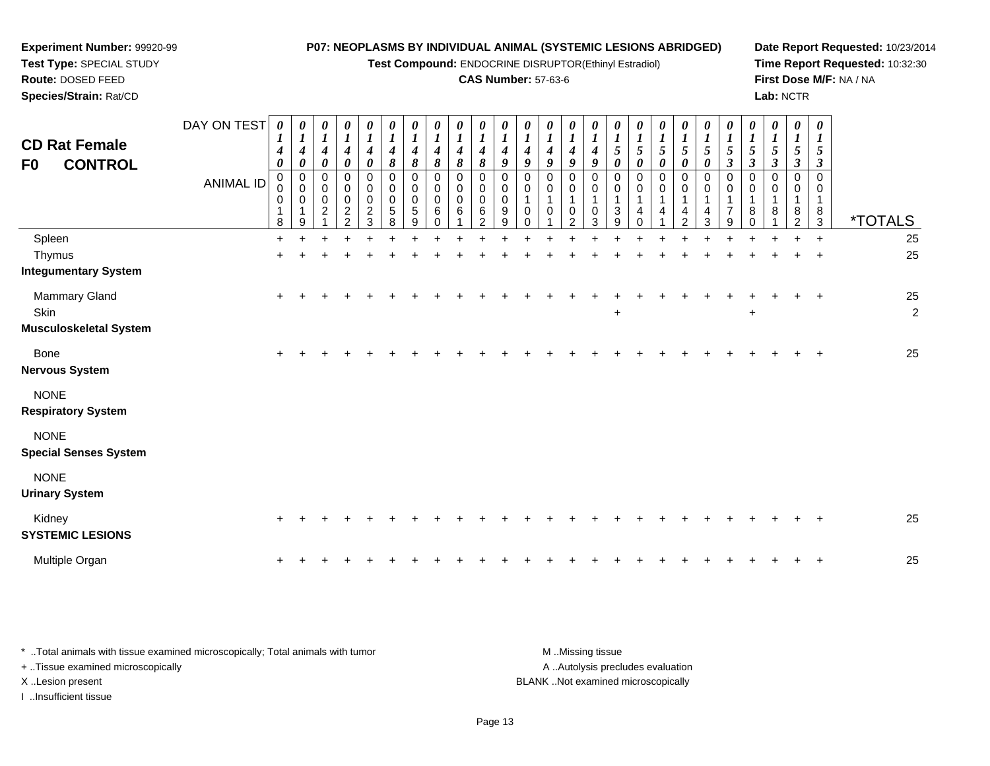**Test Compound:** ENDOCRINE DISRUPTOR(Ethinyl Estradiol)

#### **CAS Number:** 57-63-6

**Date Report Requested:** 10/23/2014**Time Report Requested:** 10:32:30**First Dose M/F:** NA / NA**Lab:** NCTR

| <b>CD Rat Female</b><br><b>CONTROL</b><br>F0 | DAY ON TEST<br><b>ANIMAL ID</b> | 0<br>$\boldsymbol{4}$<br>$\boldsymbol{\theta}$<br>$\pmb{0}$<br>$\pmb{0}$<br>0<br>8 | $\boldsymbol{\theta}$<br>$\boldsymbol{l}$<br>$\boldsymbol{4}$<br>$\boldsymbol{\theta}$<br>$\pmb{0}$<br>$\mathbf 0$<br>0<br>1<br>9 | $\boldsymbol{\theta}$<br>$\boldsymbol{l}$<br>$\boldsymbol{4}$<br>0<br>0<br>0<br>$\,0\,$<br>$\boldsymbol{2}$ | $\boldsymbol{\theta}$<br>$\boldsymbol{l}$<br>4<br>$\boldsymbol{\theta}$<br>$\mathbf 0$<br>0<br>$\pmb{0}$<br>$\overline{c}$<br>ົ | 0<br>4<br>0<br>0<br>$\mathbf 0$<br>$\pmb{0}$<br>$\overline{c}$<br>3 | 0<br>$\boldsymbol{l}$<br>$\boldsymbol{4}$<br>8<br>0<br>$\boldsymbol{0}$<br>$\pmb{0}$<br>$\sqrt{5}$<br>8 | 0<br>$\boldsymbol{l}$<br>$\boldsymbol{4}$<br>8<br>$\pmb{0}$<br>$\pmb{0}$<br>$\pmb{0}$<br>$\sqrt{5}$<br>9 | 0<br>$\boldsymbol{l}$<br>$\boldsymbol{4}$<br>8<br>$\,0\,$<br>$\pmb{0}$<br>$\mathbf 0$<br>6<br>0 | 0<br>$\boldsymbol{l}$<br>4<br>8<br>0<br>0<br>$\mathbf 0$<br>6 | 0<br>$\boldsymbol{l}$<br>$\boldsymbol{4}$<br>8<br>$\mathbf 0$<br>0<br>$\mathbf 0$<br>6<br>2 | 0<br>$\boldsymbol{l}$<br>4<br>9<br>$\mathbf 0$<br>0<br>$\mathbf 0$<br>9<br>9 | $\frac{\boldsymbol{\theta}}{\boldsymbol{I}}$<br>$\boldsymbol{4}$<br>9<br>$\pmb{0}$<br>$\mathbf 0$<br>0 | $\frac{\theta}{I}$<br>$\boldsymbol{4}$<br>9<br>0<br>0<br>$\mathbf{1}$<br>0 | 0<br>$\boldsymbol{l}$<br>$\boldsymbol{4}$<br>9<br>0<br>0<br>$\mathbf{1}$<br>0<br>$\overline{2}$ | $\boldsymbol{\theta}$<br>$\boldsymbol{l}$<br>4<br>$\boldsymbol{q}$<br>$\mathbf 0$<br>0<br>$\mathbf{1}$<br>0<br>3 | 0<br>$\boldsymbol{l}$<br>5<br>0<br>0<br>0<br>1<br>3<br>9 | 0<br>$\boldsymbol{l}$<br>$\mathfrak{s}$<br>$\boldsymbol{\theta}$<br>$\mathbf 0$<br>0<br>1<br>4<br>0 | 1<br>5<br>0<br>$\mathbf 0$<br>0<br>1 | $\boldsymbol{\theta}$<br>$\mathfrak{s}$<br>$\boldsymbol{\theta}$<br>$\,0\,$<br>0<br>4<br>$\mathfrak{p}$ | 0<br>$\boldsymbol{l}$<br>$\mathfrak{s}$<br>$\boldsymbol{\theta}$<br>0<br>0<br>1<br>4<br>3 | 0<br>$\boldsymbol{l}$<br>$\sqrt{5}$<br>$\boldsymbol{\beta}$<br>0<br>0<br>$\overline{7}$<br>9 | 0<br>$\boldsymbol{l}$<br>5<br>$\boldsymbol{\beta}$<br>$\pmb{0}$<br>0<br>$\mathbf 1$<br>8<br>$\Omega$ | $\pmb{\theta}$<br>$\boldsymbol{l}$<br>5<br>$\boldsymbol{\beta}$<br>$\,0\,$<br>0<br>1<br>8 | $\boldsymbol{\theta}$<br>$\boldsymbol{l}$<br>$\mathfrak{H}$<br>$\boldsymbol{\beta}$<br>0<br>0<br>1<br>8<br>$\overline{2}$ | 0<br>$\boldsymbol{l}$<br>5<br>$\boldsymbol{\beta}$<br>0<br>0<br>$\mathbf{1}$<br>8<br>$\mathbf{3}$ | <i><b>*TOTALS</b></i> |
|----------------------------------------------|---------------------------------|------------------------------------------------------------------------------------|-----------------------------------------------------------------------------------------------------------------------------------|-------------------------------------------------------------------------------------------------------------|---------------------------------------------------------------------------------------------------------------------------------|---------------------------------------------------------------------|---------------------------------------------------------------------------------------------------------|----------------------------------------------------------------------------------------------------------|-------------------------------------------------------------------------------------------------|---------------------------------------------------------------|---------------------------------------------------------------------------------------------|------------------------------------------------------------------------------|--------------------------------------------------------------------------------------------------------|----------------------------------------------------------------------------|-------------------------------------------------------------------------------------------------|------------------------------------------------------------------------------------------------------------------|----------------------------------------------------------|-----------------------------------------------------------------------------------------------------|--------------------------------------|---------------------------------------------------------------------------------------------------------|-------------------------------------------------------------------------------------------|----------------------------------------------------------------------------------------------|------------------------------------------------------------------------------------------------------|-------------------------------------------------------------------------------------------|---------------------------------------------------------------------------------------------------------------------------|---------------------------------------------------------------------------------------------------|-----------------------|
| Spleen                                       |                                 | $\ddot{}$                                                                          |                                                                                                                                   |                                                                                                             |                                                                                                                                 |                                                                     |                                                                                                         |                                                                                                          |                                                                                                 |                                                               |                                                                                             |                                                                              |                                                                                                        |                                                                            |                                                                                                 |                                                                                                                  |                                                          |                                                                                                     |                                      |                                                                                                         |                                                                                           |                                                                                              |                                                                                                      |                                                                                           |                                                                                                                           | $\ddot{}$                                                                                         | 25                    |
| Thymus<br><b>Integumentary System</b>        |                                 | $\pm$                                                                              |                                                                                                                                   |                                                                                                             |                                                                                                                                 |                                                                     |                                                                                                         |                                                                                                          |                                                                                                 |                                                               |                                                                                             |                                                                              |                                                                                                        |                                                                            |                                                                                                 |                                                                                                                  |                                                          |                                                                                                     |                                      |                                                                                                         |                                                                                           |                                                                                              |                                                                                                      |                                                                                           |                                                                                                                           | $\ddot{}$                                                                                         | 25                    |
| Mammary Gland                                |                                 |                                                                                    |                                                                                                                                   |                                                                                                             |                                                                                                                                 |                                                                     |                                                                                                         |                                                                                                          |                                                                                                 |                                                               |                                                                                             |                                                                              |                                                                                                        |                                                                            |                                                                                                 |                                                                                                                  |                                                          |                                                                                                     |                                      |                                                                                                         |                                                                                           |                                                                                              |                                                                                                      |                                                                                           |                                                                                                                           |                                                                                                   | 25                    |
| Skin<br><b>Musculoskeletal System</b>        |                                 |                                                                                    |                                                                                                                                   |                                                                                                             |                                                                                                                                 |                                                                     |                                                                                                         |                                                                                                          |                                                                                                 |                                                               |                                                                                             |                                                                              |                                                                                                        |                                                                            |                                                                                                 |                                                                                                                  | $\ddot{}$                                                |                                                                                                     |                                      |                                                                                                         |                                                                                           |                                                                                              | $\ddot{}$                                                                                            |                                                                                           |                                                                                                                           |                                                                                                   | $\overline{c}$        |
| Bone<br><b>Nervous System</b>                |                                 |                                                                                    |                                                                                                                                   |                                                                                                             |                                                                                                                                 |                                                                     |                                                                                                         |                                                                                                          |                                                                                                 |                                                               |                                                                                             |                                                                              |                                                                                                        |                                                                            |                                                                                                 |                                                                                                                  |                                                          |                                                                                                     |                                      |                                                                                                         |                                                                                           |                                                                                              |                                                                                                      |                                                                                           |                                                                                                                           |                                                                                                   | 25                    |
| <b>NONE</b><br><b>Respiratory System</b>     |                                 |                                                                                    |                                                                                                                                   |                                                                                                             |                                                                                                                                 |                                                                     |                                                                                                         |                                                                                                          |                                                                                                 |                                                               |                                                                                             |                                                                              |                                                                                                        |                                                                            |                                                                                                 |                                                                                                                  |                                                          |                                                                                                     |                                      |                                                                                                         |                                                                                           |                                                                                              |                                                                                                      |                                                                                           |                                                                                                                           |                                                                                                   |                       |
| <b>NONE</b><br><b>Special Senses System</b>  |                                 |                                                                                    |                                                                                                                                   |                                                                                                             |                                                                                                                                 |                                                                     |                                                                                                         |                                                                                                          |                                                                                                 |                                                               |                                                                                             |                                                                              |                                                                                                        |                                                                            |                                                                                                 |                                                                                                                  |                                                          |                                                                                                     |                                      |                                                                                                         |                                                                                           |                                                                                              |                                                                                                      |                                                                                           |                                                                                                                           |                                                                                                   |                       |
| <b>NONE</b><br><b>Urinary System</b>         |                                 |                                                                                    |                                                                                                                                   |                                                                                                             |                                                                                                                                 |                                                                     |                                                                                                         |                                                                                                          |                                                                                                 |                                                               |                                                                                             |                                                                              |                                                                                                        |                                                                            |                                                                                                 |                                                                                                                  |                                                          |                                                                                                     |                                      |                                                                                                         |                                                                                           |                                                                                              |                                                                                                      |                                                                                           |                                                                                                                           |                                                                                                   |                       |
| Kidney                                       |                                 |                                                                                    |                                                                                                                                   |                                                                                                             |                                                                                                                                 |                                                                     |                                                                                                         |                                                                                                          |                                                                                                 |                                                               |                                                                                             |                                                                              |                                                                                                        |                                                                            |                                                                                                 |                                                                                                                  |                                                          |                                                                                                     |                                      |                                                                                                         |                                                                                           |                                                                                              |                                                                                                      |                                                                                           |                                                                                                                           |                                                                                                   | 25                    |

**SYSTEMIC LESIONS**

**Experiment Number:** 99920-99**Test Type:** SPECIAL STUDY**Route:** DOSED FEED**Species/Strain:** Rat/CD

Multiple Organn  $+$ <sup>+</sup> <sup>+</sup> <sup>+</sup> <sup>+</sup> <sup>+</sup> <sup>+</sup> <sup>+</sup> <sup>+</sup> <sup>+</sup> <sup>+</sup> <sup>+</sup> <sup>+</sup> <sup>+</sup> <sup>+</sup> <sup>+</sup> <sup>+</sup> <sup>+</sup> <sup>+</sup> <sup>+</sup> <sup>+</sup> <sup>+</sup> <sup>+</sup> <sup>+</sup> <sup>+</sup> <sup>25</sup>

\* ..Total animals with tissue examined microscopically; Total animals with tumor **M** ...Missing tissue M ...Missing tissue A ..Autolysis precludes evaluation + ..Tissue examined microscopically X ..Lesion present BLANK ..Not examined microscopicallyI ..Insufficient tissue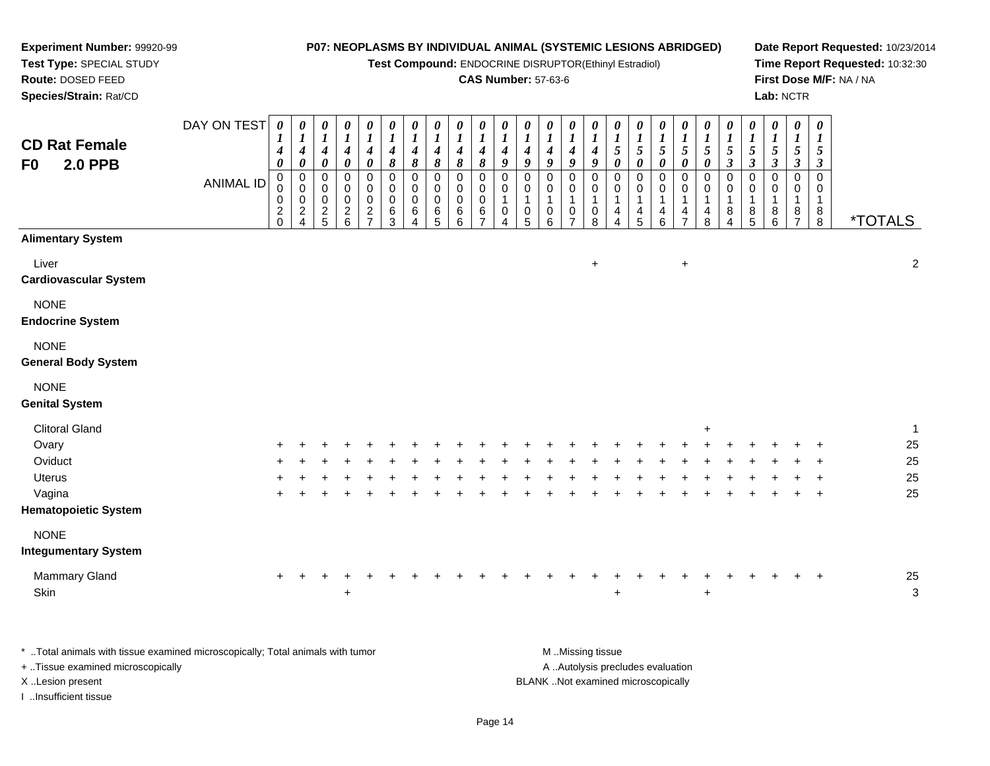**Test Compound:** ENDOCRINE DISRUPTOR(Ethinyl Estradiol)

# **CAS Number:** 57-63-6

**Date Report Requested:** 10/23/2014**Time Report Requested:** 10:32:30**First Dose M/F:** NA / NA**Lab:** NCTR

| <b>CD Rat Female</b><br><b>2.0 PPB</b><br>F0                                                                        | DAY ON TEST      | $\boldsymbol{\theta}$<br>4<br>0   | 0<br>$\bm{l}$<br>$\boldsymbol{4}$<br>$\pmb{\theta}$    | 0<br>$\boldsymbol{I}$<br>$\boldsymbol{4}$<br>0 | 0<br>$\boldsymbol{l}$<br>$\overset{4}{\scriptstyle{0}}$      | 0<br>$\boldsymbol{l}$<br>$\boldsymbol{4}$<br>$\pmb{\theta}$ | 0<br>$\boldsymbol{l}$<br>$\frac{4}{8}$ | $\boldsymbol{\theta}$<br>$\boldsymbol{l}$<br>$\boldsymbol{4}$<br>$\pmb{8}$ | 0<br>$\boldsymbol{l}$<br>4<br>$\pmb{8}$ | 0<br>$\boldsymbol{l}$<br>$\boldsymbol{4}$<br>$\pmb{8}$ | 0<br>1<br>4<br>8             | 0<br>$\boldsymbol{l}$<br>4<br>$\boldsymbol{9}$                            | 0<br>$\boldsymbol{l}$<br>4<br>9                             | 0<br>$\bm{l}$<br>4<br>9                    | 0<br>1<br>4<br>$\boldsymbol{g}$                      | 0<br>$\boldsymbol{l}$<br>$\boldsymbol{4}$<br>$\boldsymbol{9}$ | 0<br>1<br>$\sqrt{5}$<br>$\pmb{\theta}$       | 0<br>$\boldsymbol{l}$<br>$\sqrt{5}$<br>$\pmb{\theta}$ | 0<br>$\boldsymbol{l}$<br>$\frac{5}{\theta}$          | 0<br>$\boldsymbol{l}$<br>$\sqrt{5}$<br>0 | $\pmb{\theta}$<br>$\boldsymbol{l}$<br>5<br>$\pmb{\theta}$ | 0<br>$\boldsymbol{l}$<br>$\mathfrak{s}$<br>$\boldsymbol{\beta}$ | 0<br>$\bm{l}$<br>5<br>$\boldsymbol{\beta}$ | 0<br>$\boldsymbol{l}$<br>5<br>$\boldsymbol{\beta}$ | 0<br>1<br>5<br>$\boldsymbol{\beta}$ | $\boldsymbol{\theta}$<br>1<br>5<br>$\boldsymbol{\beta}$ |                       |
|---------------------------------------------------------------------------------------------------------------------|------------------|-----------------------------------|--------------------------------------------------------|------------------------------------------------|--------------------------------------------------------------|-------------------------------------------------------------|----------------------------------------|----------------------------------------------------------------------------|-----------------------------------------|--------------------------------------------------------|------------------------------|---------------------------------------------------------------------------|-------------------------------------------------------------|--------------------------------------------|------------------------------------------------------|---------------------------------------------------------------|----------------------------------------------|-------------------------------------------------------|------------------------------------------------------|------------------------------------------|-----------------------------------------------------------|-----------------------------------------------------------------|--------------------------------------------|----------------------------------------------------|-------------------------------------|---------------------------------------------------------|-----------------------|
|                                                                                                                     | <b>ANIMAL ID</b> | $\mathbf 0$<br>0<br>$\frac{2}{0}$ | $\pmb{0}$<br>$\mathbf 0$<br>$\pmb{0}$<br>$\frac{2}{4}$ | 0<br>$\mathbf 0$<br>$\pmb{0}$<br>$\frac{2}{5}$ | 0<br>0<br>$\pmb{0}$<br>$\begin{array}{c} 2 \\ 6 \end{array}$ | $\mathbf 0$<br>$\mathbf 0$<br>$\mathbf 0$<br>$\frac{2}{7}$  | 0<br>$\pmb{0}$<br>$\,0\,$<br>$^6_3$    | 0<br>$\mathbf 0$<br>0<br>6<br>4                                            | 0<br>0<br>0<br>$^6$ 5                   | $\mathbf 0$<br>0<br>0<br>$\,6$<br>6                    | 0<br>0<br>0<br>$\frac{6}{7}$ | $\mathbf 0$<br>$\mathbf 0$<br>$\mathbf{1}$<br>$\pmb{0}$<br>$\overline{A}$ | $\mathbf 0$<br>$\mathbf 0$<br>$\mathbf{1}$<br>$\frac{0}{5}$ | $\mathbf 0$<br>0<br>$\mathbf{1}$<br>0<br>6 | $\mathbf 0$<br>0<br>1<br>$\frac{0}{7}$               | $\mathbf 0$<br>0<br>$\overline{1}$<br>0<br>8                  | $\mathbf 0$<br>0<br>1<br>4<br>$\overline{4}$ | $\mathbf 0$<br>0<br>1<br>4<br>$\overline{5}$          | 0<br>0<br>1<br>$\begin{array}{c} 4 \\ 6 \end{array}$ | 0<br>0<br>1<br>$\frac{4}{7}$             | 0<br>$\Omega$<br>1<br>4<br>8                              | $\mathbf 0$<br>0<br>1<br>8<br>4                                 | $\Omega$<br>0<br>1<br>$^8$ 5               | 0<br>0<br>-1<br>$^8_6$                             | 0<br>0<br>1<br>8<br>$\overline{7}$  | $\mathbf 0$<br>0<br>1<br>$_{\rm 8}^{\rm 8}$             | <i><b>*TOTALS</b></i> |
| <b>Alimentary System</b>                                                                                            |                  |                                   |                                                        |                                                |                                                              |                                                             |                                        |                                                                            |                                         |                                                        |                              |                                                                           |                                                             |                                            |                                                      |                                                               |                                              |                                                       |                                                      |                                          |                                                           |                                                                 |                                            |                                                    |                                     |                                                         |                       |
| Liver<br>Cardiovascular System                                                                                      |                  |                                   |                                                        |                                                |                                                              |                                                             |                                        |                                                                            |                                         |                                                        |                              |                                                                           |                                                             |                                            |                                                      | $\ddot{}$                                                     |                                              |                                                       |                                                      | $\ddot{}$                                |                                                           |                                                                 |                                            |                                                    |                                     |                                                         | $\overline{c}$        |
| <b>NONE</b><br><b>Endocrine System</b>                                                                              |                  |                                   |                                                        |                                                |                                                              |                                                             |                                        |                                                                            |                                         |                                                        |                              |                                                                           |                                                             |                                            |                                                      |                                                               |                                              |                                                       |                                                      |                                          |                                                           |                                                                 |                                            |                                                    |                                     |                                                         |                       |
| <b>NONE</b><br><b>General Body System</b>                                                                           |                  |                                   |                                                        |                                                |                                                              |                                                             |                                        |                                                                            |                                         |                                                        |                              |                                                                           |                                                             |                                            |                                                      |                                                               |                                              |                                                       |                                                      |                                          |                                                           |                                                                 |                                            |                                                    |                                     |                                                         |                       |
| <b>NONE</b><br><b>Genital System</b>                                                                                |                  |                                   |                                                        |                                                |                                                              |                                                             |                                        |                                                                            |                                         |                                                        |                              |                                                                           |                                                             |                                            |                                                      |                                                               |                                              |                                                       |                                                      |                                          |                                                           |                                                                 |                                            |                                                    |                                     |                                                         |                       |
| <b>Clitoral Gland</b>                                                                                               |                  |                                   |                                                        |                                                |                                                              |                                                             |                                        |                                                                            |                                         |                                                        |                              |                                                                           |                                                             |                                            |                                                      |                                                               |                                              |                                                       |                                                      |                                          | $\ddot{}$                                                 |                                                                 |                                            |                                                    |                                     |                                                         | $\mathbf{1}$          |
| Ovary                                                                                                               |                  |                                   |                                                        |                                                |                                                              |                                                             |                                        |                                                                            |                                         |                                                        |                              |                                                                           |                                                             |                                            |                                                      |                                                               |                                              |                                                       |                                                      |                                          |                                                           |                                                                 |                                            |                                                    |                                     |                                                         | $25\,$                |
| Oviduct                                                                                                             |                  |                                   |                                                        |                                                |                                                              |                                                             |                                        |                                                                            |                                         |                                                        |                              |                                                                           |                                                             |                                            |                                                      |                                                               |                                              |                                                       |                                                      |                                          |                                                           |                                                                 |                                            |                                                    |                                     |                                                         | 25                    |
| Uterus                                                                                                              |                  |                                   |                                                        |                                                |                                                              |                                                             |                                        |                                                                            |                                         |                                                        |                              |                                                                           |                                                             |                                            |                                                      |                                                               |                                              |                                                       |                                                      |                                          |                                                           |                                                                 |                                            |                                                    |                                     |                                                         | 25                    |
| Vagina<br><b>Hematopoietic System</b>                                                                               |                  |                                   |                                                        |                                                |                                                              |                                                             |                                        |                                                                            |                                         |                                                        |                              |                                                                           |                                                             |                                            |                                                      |                                                               |                                              |                                                       |                                                      |                                          |                                                           |                                                                 |                                            |                                                    |                                     |                                                         | 25                    |
| <b>NONE</b><br><b>Integumentary System</b>                                                                          |                  |                                   |                                                        |                                                |                                                              |                                                             |                                        |                                                                            |                                         |                                                        |                              |                                                                           |                                                             |                                            |                                                      |                                                               |                                              |                                                       |                                                      |                                          |                                                           |                                                                 |                                            |                                                    |                                     |                                                         |                       |
| Mammary Gland                                                                                                       |                  |                                   |                                                        |                                                |                                                              |                                                             |                                        |                                                                            |                                         |                                                        |                              |                                                                           |                                                             |                                            |                                                      |                                                               |                                              |                                                       |                                                      |                                          |                                                           |                                                                 |                                            |                                                    |                                     |                                                         | 25                    |
| Skin                                                                                                                |                  |                                   |                                                        |                                                | $\ddot{}$                                                    |                                                             |                                        |                                                                            |                                         |                                                        |                              |                                                                           |                                                             |                                            |                                                      |                                                               | $\ddot{}$                                    |                                                       |                                                      |                                          | $\ddot{}$                                                 |                                                                 |                                            |                                                    |                                     |                                                         | $\mathbf{3}$          |
| * Total animals with tissue examined microscopically; Total animals with tumor<br>+ Tissue examined microscopically |                  |                                   |                                                        |                                                |                                                              |                                                             |                                        |                                                                            |                                         |                                                        |                              |                                                                           |                                                             |                                            | M Missing tissue<br>A Autolysis precludes evaluation |                                                               |                                              |                                                       |                                                      |                                          |                                                           |                                                                 |                                            |                                                    |                                     |                                                         |                       |

X ..Lesion present BLANK ..Not examined microscopically

**Experiment Number:** 99920-99**Test Type:** SPECIAL STUDY**Route:** DOSED FEED**Species/Strain:** Rat/CD

I ..Insufficient tissue

Page 14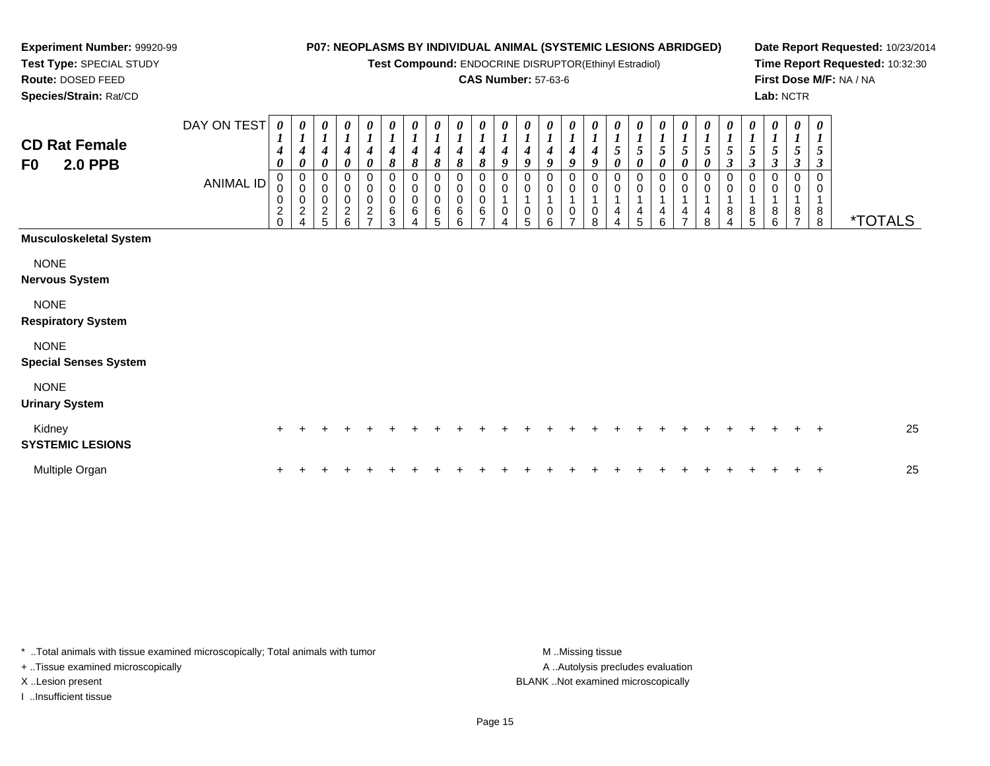**Test Compound:** ENDOCRINE DISRUPTOR(Ethinyl Estradiol)

#### **CAS Number:** 57-63-6

**Date Report Requested:** 10/23/2014**Time Report Requested:** 10:32:30**First Dose M/F:** NA / NA**Lab:** NCTR

8 \*TOTALS

*0 1 5*

*0*

*1 5 3*

0

 **Species/Strain:** Rat/CDDAY ON TEST**CD Rat Female F0 2.0 PPB**ANIMAL ID*0 1 4 0* 0 0 0 2 0*0 1 4 0* 0 0 0 2 4*0 1 4 0* 0 0 0 2 5*0 1 4 0* 0 0 0 2 6*0 1 4 0* 0 0 0 2 7*0 1 4 8* 0 0 0 6 3*0 1 4 8* 0 0 0 6 4*0 1 4 8* 0 0 0 6 5*0 1 4 8*0<br>0<br>0<br>6<br>6 *0 1 4 8* 0 0 0 6 7*0 1 4 9* 0 0 1 0 4*0 1 4 9* 0 0 1 0 5*0 1 4 9* 0 0 1 0 6*0 1 4 9* 0 0 1 0 7*0 1 4 9* 0 0 1 0 8*0 1 5 0* 0 0 1 4 4*0 1 5 0* 0 0 1 4 5*0 1 5 0* 0 0 1 4 6*0 1 5 0* 0 0 1 4 7**Musculoskeletal System**NONE

**Nervous System**

NONE

**Respiratory System**

NONE

**Special Senses System**

**Experiment Number:** 99920-99**Test Type:** SPECIAL STUDY**Route:** DOSED FEED

NONE

**Urinary System**

| Kidney<br><b>SYSTEMIC LESIONS</b> |  |  |  |  |  |  |  |  |  |  |  |  |  | 25 |
|-----------------------------------|--|--|--|--|--|--|--|--|--|--|--|--|--|----|
| Multiple Organ                    |  |  |  |  |  |  |  |  |  |  |  |  |  | 25 |

\* ..Total animals with tissue examined microscopically; Total animals with tumor **M** ..Missing tissue M ..Missing tissue + ..Tissue examined microscopically

I ..Insufficient tissue

A ..Autolysis precludes evaluation X ..Lesion present BLANK ..Not examined microscopically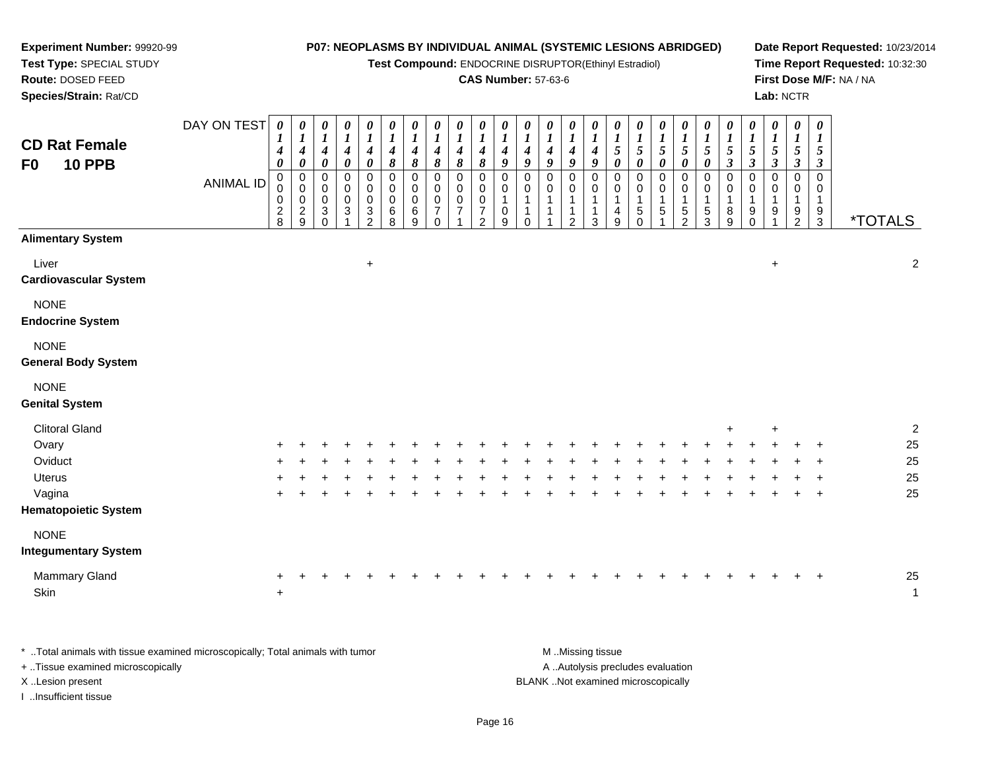#### **Experiment Number:** 99920-99**Test Type:** SPECIAL STUDY**Route:** DOSED FEED **Species/Strain:** Rat/CD**P07: NEOPLASMS BY INDIVIDUAL ANIMAL (SYSTEMIC LESIONS ABRIDGED)Test Compound:** ENDOCRINE DISRUPTOR(Ethinyl Estradiol)**CAS Number:** 57-63-6**Date Report Requested:** 10/23/2014**Time Report Requested:** 10:32:30**First Dose M/F:** NA / NA**Lab:** NCTRDAY ON TEST**CD Rat FemaleF0 10 PPB**ANIMAL ID*0 1 4 0* 0 0 0 2 8*0 1 4 0* 0 0 0 2 9*0 1 4 0*0<br>0<br>0<br>0<br>0<br>0 *0 1 4 0* 00<br>0<br>3<br>1 *0 1 4 0*0<br>0<br>0<br>3<br>2 *0 1 4 8* 0 0 0 6 8*0 1 4 8* 0 0 0 6 9*0 1 4 8*0<br>0<br>0<br>0<br>0<br>0 *0 1 4 8*0<br>0<br>0<br>7 1*0 1 4 8*0<br>0<br>0<br>7 2*0 1 4 9* 0 0 1 0 9*0 1 4 9* 0 0 1 1 0*0 1 4 9* 0 0 1 1 1*0 1 4 9* 0 0 1 1 2*0 1 4 9* 0 0 1 1 3*0 1 5 0* 0 0 1 4 9*0 1 5 0* 0 0 1 5 0*0 1 5 0* 0 0 1 5 1*0 1 5 0* 0 0 1 5 2*0 1 5 0* 0 0 1 5 3*0 1 5 3* 0 0 1 8 9*0 1 5 3* 0 0 1 9 0*0 1 5 3* 0 0 1 9 1*0 1 5 3* 0 0 1 9 2*0 1 5 3* 0 0 19<br>م 3 \*TOTALS**Alimentary System**

| Liver                        |     |   |  | $\ddot{}$ |       |   |    |  |        |   |    |  |  |   |           |       |            | $\ddot{}$ |           |                | $\boldsymbol{2}$ |
|------------------------------|-----|---|--|-----------|-------|---|----|--|--------|---|----|--|--|---|-----------|-------|------------|-----------|-----------|----------------|------------------|
| <b>Cardiovascular System</b> |     |   |  |           |       |   |    |  |        |   |    |  |  |   |           |       |            |           |           |                |                  |
| <b>NONE</b>                  |     |   |  |           |       |   |    |  |        |   |    |  |  |   |           |       |            |           |           |                |                  |
| <b>Endocrine System</b>      |     |   |  |           |       |   |    |  |        |   |    |  |  |   |           |       |            |           |           |                |                  |
| <b>NONE</b>                  |     |   |  |           |       |   |    |  |        |   |    |  |  |   |           |       |            |           |           |                |                  |
| <b>General Body System</b>   |     |   |  |           |       |   |    |  |        |   |    |  |  |   |           |       |            |           |           |                |                  |
| <b>NONE</b>                  |     |   |  |           |       |   |    |  |        |   |    |  |  |   |           |       |            |           |           |                |                  |
| <b>Genital System</b>        |     |   |  |           |       |   |    |  |        |   |    |  |  |   |           |       |            |           |           |                |                  |
| <b>Clitoral Gland</b>        |     |   |  |           |       |   |    |  |        |   |    |  |  |   |           | $+$   |            | $+$       |           |                | $\overline{2}$   |
| Ovary                        | $+$ |   |  |           |       |   |    |  |        |   |    |  |  | ÷ | $\div$    |       |            |           |           | $\ddot{}$      | 25               |
| Oviduct                      | $+$ | ÷ |  |           | ÷.    |   | ÷  |  | $\div$ | ÷ | ÷. |  |  | ÷ | ÷         | $\pm$ | $\ddot{}$  | $\div$    | $+$       | $\overline{+}$ | 25               |
| Uterus                       | $+$ |   |  |           |       |   |    |  |        |   |    |  |  |   |           |       |            |           | ٠.        | $\pm$          | 25               |
| Vagina                       | $+$ | ÷ |  |           | $\pm$ | ÷ | ÷. |  |        |   |    |  |  |   | $\ddot{}$ | $+$   | $\ddot{+}$ | $\ddot{}$ | $\ddot{}$ | $+$            | 25               |
| <b>Hematopoietic System</b>  |     |   |  |           |       |   |    |  |        |   |    |  |  |   |           |       |            |           |           |                |                  |
| <b>NONE</b>                  |     |   |  |           |       |   |    |  |        |   |    |  |  |   |           |       |            |           |           |                |                  |

#### **Integumentary System**

| Mammary Gland |  |  |  |  |  |  |  |  |  |  |  |  |  | 25 |
|---------------|--|--|--|--|--|--|--|--|--|--|--|--|--|----|
| Skin          |  |  |  |  |  |  |  |  |  |  |  |  |  |    |

\* ..Total animals with tissue examined microscopically; Total animals with tumor A ..Autolysis precludes evaluation + ..Tissue examined microscopically X ..Lesion present BLANK ..Not examined microscopicallyI ..Insufficient tissue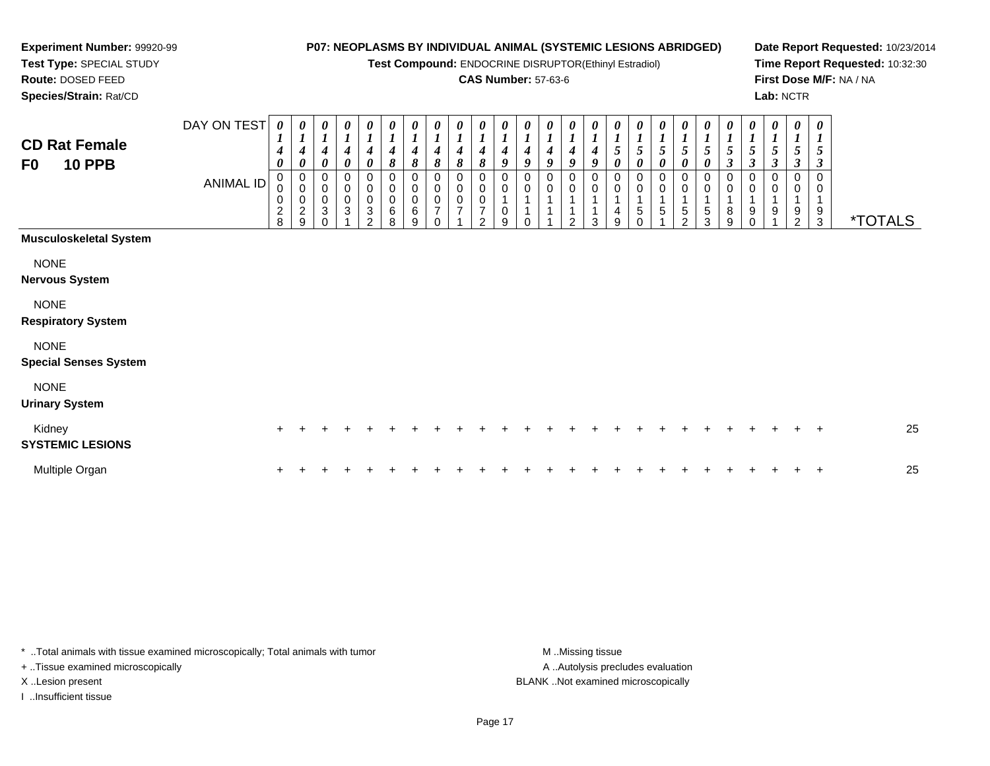**Test Compound:** ENDOCRINE DISRUPTOR(Ethinyl Estradiol)

## **CAS Number:** 57-63-6

**Date Report Requested:** 10/23/2014**Time Report Requested:** 10:32:30**First Dose M/F:** NA / NA**Lab:** NCTR

\*TOTALS

|                                 | DAY ON TEST | $\boldsymbol{\theta}$            | 0                        | 0                   | $\theta$         | $\boldsymbol{\theta}$    | $\boldsymbol{\theta}$ | $\boldsymbol{\theta}$         | 0                                    | 0                                    | 0                                    | 0                                    | 0 | 0                                    | 0                 | 0                     | 0           | 0      | 0                     | $\theta$    | 0              | $\boldsymbol{\theta}$ | $\boldsymbol{\theta}$       | $\boldsymbol{\theta}$ | $\boldsymbol{\theta}$ | $\boldsymbol{\theta}$ |
|---------------------------------|-------------|----------------------------------|--------------------------|---------------------|------------------|--------------------------|-----------------------|-------------------------------|--------------------------------------|--------------------------------------|--------------------------------------|--------------------------------------|---|--------------------------------------|-------------------|-----------------------|-------------|--------|-----------------------|-------------|----------------|-----------------------|-----------------------------|-----------------------|-----------------------|-----------------------|
| <b>CD Rat Female</b>            |             | $\mathbf{I}$<br>$\boldsymbol{4}$ | $\mathbf{I}$<br>4        | 4                   | 4                | 4                        | 4                     | $\bm{l}$<br>$\boldsymbol{4}$  | $\boldsymbol{l}$<br>$\boldsymbol{4}$ | $\boldsymbol{l}$<br>$\boldsymbol{4}$ | $\boldsymbol{l}$<br>$\boldsymbol{4}$ | $\boldsymbol{l}$<br>$\boldsymbol{4}$ | 4 | $\boldsymbol{l}$<br>$\boldsymbol{4}$ | $\mathbf{I}$<br>4 | 1<br>$\boldsymbol{4}$ | 5           | 5      | $5\overline{)}$       | 5           | 5 <sup>5</sup> | 5                     | $\bm{l}$<br>$5\overline{)}$ | $\boldsymbol{I}$<br>5 | $\mathbf{I}$<br>5     | $\boldsymbol{l}$<br>5 |
| <b>10 PPB</b><br>F <sub>0</sub> |             | $\boldsymbol{\theta}$            | 0                        | 0                   | 0                | 0                        | 8                     | 8                             | 8                                    | $\pmb{8}$                            | 8                                    | 9                                    | 9 | 9                                    | 9                 | 9                     | 0           | 0      | $\boldsymbol{\theta}$ | 0           | 0              | 3                     | $\mathbf{3}$                | $\boldsymbol{\beta}$  | $\boldsymbol{\beta}$  | 3                     |
|                                 | ANIMAL ID   | $\mathbf 0$                      | 0<br>$\mathbf 0$         | 0<br>$\pmb{0}$      |                  | 0<br>$\mathbf 0$         | 0<br>0                | $_0^0$                        | 0<br>$\bar{0}$                       | 0<br>$\pmb{0}$                       | 0<br>$\pmb{0}$                       | $_{\rm 0}^{\rm 0}$                   | 0 | 0<br>$\ddot{\mathbf{0}}$             | 0<br>$\mathbf 0$  | 0<br>$\pmb{0}$        | $\mathbf 0$ | 0<br>0 | 0<br>0                | $\mathbf 0$ |                | 0<br>0                | 0<br>0                      | 0<br>$\mathbf 0$      | 0<br>0                | 0<br>0                |
|                                 |             | 0<br>$\overline{2}$<br>8         | 0<br>$\overline{c}$<br>9 | $\pmb{0}$<br>3<br>0 | $\mathbf 0$<br>3 | 0<br>3<br>$\overline{2}$ | 0<br>6<br>8           | $\mathsf{O}\xspace$<br>6<br>9 | 0<br>$\overline{7}$<br>$\Omega$      | $\frac{0}{7}$                        | $\pmb{0}$<br>$\overline{z}$<br>2     | 1<br>$\mathbf 0$<br>9                |   |                                      | $\overline{2}$    | 3                     | 4<br>9      | 5      | 5                     | 5<br>2      | 5<br>3         | 8<br>9                | 9<br>$\mathbf 0$            | 9                     | 9<br>$\overline{c}$   | 9<br>3                |
| <b>Musculoskeletal System</b>   |             |                                  |                          |                     |                  |                          |                       |                               |                                      |                                      |                                      |                                      |   |                                      |                   |                       |             |        |                       |             |                |                       |                             |                       |                       |                       |
| <b>NONE</b>                     |             |                                  |                          |                     |                  |                          |                       |                               |                                      |                                      |                                      |                                      |   |                                      |                   |                       |             |        |                       |             |                |                       |                             |                       |                       |                       |
| <b>Nervous System</b>           |             |                                  |                          |                     |                  |                          |                       |                               |                                      |                                      |                                      |                                      |   |                                      |                   |                       |             |        |                       |             |                |                       |                             |                       |                       |                       |
| <b>NONE</b>                     |             |                                  |                          |                     |                  |                          |                       |                               |                                      |                                      |                                      |                                      |   |                                      |                   |                       |             |        |                       |             |                |                       |                             |                       |                       |                       |
| <b>Respiratory System</b>       |             |                                  |                          |                     |                  |                          |                       |                               |                                      |                                      |                                      |                                      |   |                                      |                   |                       |             |        |                       |             |                |                       |                             |                       |                       |                       |
| <b>NONE</b>                     |             |                                  |                          |                     |                  |                          |                       |                               |                                      |                                      |                                      |                                      |   |                                      |                   |                       |             |        |                       |             |                |                       |                             |                       |                       |                       |
| <b>Special Senses System</b>    |             |                                  |                          |                     |                  |                          |                       |                               |                                      |                                      |                                      |                                      |   |                                      |                   |                       |             |        |                       |             |                |                       |                             |                       |                       |                       |

# NONE

#### **Urinary System**

**Experiment Number:** 99920-99**Test Type:** SPECIAL STUDY**Route:** DOSED FEED**Species/Strain:** Rat/CD

| Kidney<br><b>SYSTEMIC LESIONS</b> |  |  |  |  |  |  |  |  |  |  |  |  |  | 25 |
|-----------------------------------|--|--|--|--|--|--|--|--|--|--|--|--|--|----|
| Multiple Organ                    |  |  |  |  |  |  |  |  |  |  |  |  |  | 25 |

\* ..Total animals with tissue examined microscopically; Total animals with tumor **M** . Missing tissue M ..Missing tissue + ..Tissue examined microscopically X ..Lesion present BLANK ..Not examined microscopically

I ..Insufficient tissue

A ..Autolysis precludes evaluation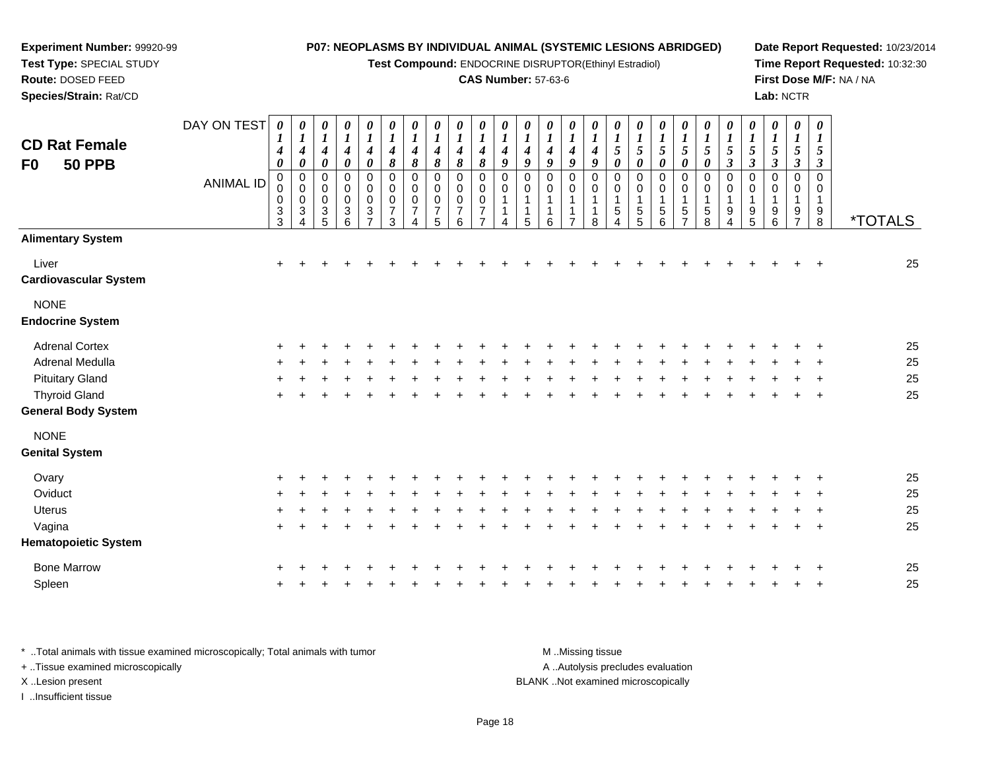**Test Compound:** ENDOCRINE DISRUPTOR(Ethinyl Estradiol)

# **CAS Number:** 57-63-6

**Date Report Requested:** 10/23/2014**Time Report Requested:** 10:32:30**First Dose M/F:** NA / NA**Lab:** NCTR

| <b>CD Rat Female</b><br>F0<br><b>50 PPB</b> | DAY ON TEST<br><b>ANIMAL ID</b> | $\boldsymbol{\theta}$<br>1<br>4<br>$\boldsymbol{\theta}$<br>$\pmb{0}$<br>0<br>$\pmb{0}$<br>$\ensuremath{\mathsf{3}}$<br>$\mathbf{3}$ | 0<br>$\boldsymbol{l}$<br>$\boldsymbol{4}$<br>$\pmb{\theta}$<br>$\overline{0}$<br>$\overline{0}$<br>$\mathbf 0$<br>$\ensuremath{\mathsf{3}}$<br>Δ | $\boldsymbol{\theta}$<br>$\boldsymbol{l}$<br>$\boldsymbol{4}$<br>$\pmb{\theta}$<br>0<br>0<br>$\mathsf{O}\xspace$<br>$\mathsf 3$<br>$\overline{5}$ | 0<br>$\boldsymbol{l}$<br>$\boldsymbol{4}$<br>$\boldsymbol{\theta}$<br>$\pmb{0}$<br>$\pmb{0}$<br>$\pmb{0}$<br>$\ensuremath{\mathsf{3}}$<br>6 | $\pmb{\theta}$<br>$\boldsymbol{l}$<br>$\boldsymbol{4}$<br>$\boldsymbol{\theta}$<br>$\pmb{0}$<br>$\pmb{0}$<br>$\pmb{0}$<br>$\sqrt{3}$<br>$\overline{7}$ | 0<br>$\boldsymbol{l}$<br>$\boldsymbol{4}$<br>8<br>$\mathbf 0$<br>$\,0\,$<br>$\pmb{0}$<br>$\overline{7}$<br>3 | $\boldsymbol{\theta}$<br>$\boldsymbol{l}$<br>$\boldsymbol{4}$<br>$\boldsymbol{\delta}$<br>$\pmb{0}$<br>0<br>0<br>$\overline{7}$<br>4 | $\boldsymbol{\theta}$<br>$\boldsymbol{l}$<br>4<br>8<br>$\mathbf 0$<br>0<br>0<br>$\overline{7}$<br>5 | $\boldsymbol{\theta}$<br>$\boldsymbol{l}$<br>4<br>8<br>$\mathbf 0$<br>0<br>$\mathbf 0$<br>$\overline{7}$<br>6 | 0<br>$\boldsymbol{l}$<br>4<br>8<br>0<br>0<br>0<br>$\overline{7}$ | $\boldsymbol{\theta}$<br>$\boldsymbol{l}$<br>$\boldsymbol{4}$<br>9<br>0<br>0<br>$\mathbf{1}$<br>1<br>Δ | 0<br>$\boldsymbol{l}$<br>4<br>9<br>0<br>0<br>$\mathbf{1}$<br>1<br>5 | $\boldsymbol{\theta}$<br>$\boldsymbol{l}$<br>4<br>9<br>$\pmb{0}$<br>0<br>$\mathbf{1}$<br>$\mathbf 1$<br>6 | 0<br>$\boldsymbol{l}$<br>$\boldsymbol{4}$<br>9<br>$\pmb{0}$<br>0<br>1<br>$\overline{7}$ | $\boldsymbol{\theta}$<br>$\boldsymbol{l}$<br>$\boldsymbol{4}$<br>$\boldsymbol{g}$<br>$\mathbf 0$<br>0<br>-1<br>-1<br>8 | 0<br>$\boldsymbol{l}$<br>$\sqrt{5}$<br>$\pmb{\theta}$<br>$\mathbf 0$<br>0<br>1<br>5 | $\boldsymbol{\theta}$<br>$\boldsymbol{l}$<br>$\sqrt{5}$<br>$\boldsymbol{\theta}$<br>$\mathbf 0$<br>0<br>1<br>5<br>5 | 0<br>$\boldsymbol{l}$<br>5<br>$\boldsymbol{\theta}$<br>0<br>0<br>$\mathbf{1}$<br>5<br>6 | 0<br>$\boldsymbol{l}$<br>$\sqrt{5}$<br>0<br>0<br>0<br>1<br>$\mathbf 5$<br>$\overline{7}$ | 0<br>$\boldsymbol{l}$<br>$\sqrt{5}$<br>$\boldsymbol{\theta}$<br>$\pmb{0}$<br>0<br>$\mathbf{1}$<br>$\mathbf 5$<br>8 | $\boldsymbol{\theta}$<br>$\boldsymbol{l}$<br>$\mathfrak{s}$<br>$\boldsymbol{\beta}$<br>$\pmb{0}$<br>0<br>$\mathbf 1$<br>9<br>4 | 0<br>$\boldsymbol{l}$<br>5<br>$\mathbf{3}$<br>$\mathbf 0$<br>0<br>$\mathbf{1}$<br>9<br>5 | 0<br>$\boldsymbol{l}$<br>5<br>$\boldsymbol{\beta}$<br>$\mathbf 0$<br>0<br>9<br>6 | 0<br>1<br>5<br>$\boldsymbol{\beta}$<br>$\Omega$<br>0<br>1<br>9<br>$\overline{7}$ | $\boldsymbol{\theta}$<br>1<br>5<br>$\boldsymbol{\beta}$<br>$\mathsf 0$<br>0<br>1<br>9<br>$\bf 8$ | <i><b>*TOTALS</b></i> |
|---------------------------------------------|---------------------------------|--------------------------------------------------------------------------------------------------------------------------------------|--------------------------------------------------------------------------------------------------------------------------------------------------|---------------------------------------------------------------------------------------------------------------------------------------------------|---------------------------------------------------------------------------------------------------------------------------------------------|--------------------------------------------------------------------------------------------------------------------------------------------------------|--------------------------------------------------------------------------------------------------------------|--------------------------------------------------------------------------------------------------------------------------------------|-----------------------------------------------------------------------------------------------------|---------------------------------------------------------------------------------------------------------------|------------------------------------------------------------------|--------------------------------------------------------------------------------------------------------|---------------------------------------------------------------------|-----------------------------------------------------------------------------------------------------------|-----------------------------------------------------------------------------------------|------------------------------------------------------------------------------------------------------------------------|-------------------------------------------------------------------------------------|---------------------------------------------------------------------------------------------------------------------|-----------------------------------------------------------------------------------------|------------------------------------------------------------------------------------------|--------------------------------------------------------------------------------------------------------------------|--------------------------------------------------------------------------------------------------------------------------------|------------------------------------------------------------------------------------------|----------------------------------------------------------------------------------|----------------------------------------------------------------------------------|--------------------------------------------------------------------------------------------------|-----------------------|
| <b>Alimentary System</b>                    |                                 |                                                                                                                                      |                                                                                                                                                  |                                                                                                                                                   |                                                                                                                                             |                                                                                                                                                        |                                                                                                              |                                                                                                                                      |                                                                                                     |                                                                                                               |                                                                  |                                                                                                        |                                                                     |                                                                                                           |                                                                                         |                                                                                                                        |                                                                                     |                                                                                                                     |                                                                                         |                                                                                          |                                                                                                                    |                                                                                                                                |                                                                                          |                                                                                  |                                                                                  |                                                                                                  |                       |
| Liver<br><b>Cardiovascular System</b>       |                                 | +                                                                                                                                    |                                                                                                                                                  |                                                                                                                                                   |                                                                                                                                             |                                                                                                                                                        |                                                                                                              |                                                                                                                                      |                                                                                                     |                                                                                                               |                                                                  |                                                                                                        |                                                                     |                                                                                                           |                                                                                         |                                                                                                                        |                                                                                     |                                                                                                                     |                                                                                         |                                                                                          |                                                                                                                    |                                                                                                                                |                                                                                          |                                                                                  |                                                                                  |                                                                                                  | 25                    |
| <b>NONE</b><br><b>Endocrine System</b>      |                                 |                                                                                                                                      |                                                                                                                                                  |                                                                                                                                                   |                                                                                                                                             |                                                                                                                                                        |                                                                                                              |                                                                                                                                      |                                                                                                     |                                                                                                               |                                                                  |                                                                                                        |                                                                     |                                                                                                           |                                                                                         |                                                                                                                        |                                                                                     |                                                                                                                     |                                                                                         |                                                                                          |                                                                                                                    |                                                                                                                                |                                                                                          |                                                                                  |                                                                                  |                                                                                                  |                       |
| <b>Adrenal Cortex</b>                       |                                 |                                                                                                                                      |                                                                                                                                                  |                                                                                                                                                   |                                                                                                                                             |                                                                                                                                                        |                                                                                                              |                                                                                                                                      |                                                                                                     |                                                                                                               |                                                                  |                                                                                                        |                                                                     |                                                                                                           |                                                                                         |                                                                                                                        |                                                                                     |                                                                                                                     |                                                                                         |                                                                                          |                                                                                                                    |                                                                                                                                |                                                                                          |                                                                                  |                                                                                  |                                                                                                  | 25                    |
| Adrenal Medulla                             |                                 |                                                                                                                                      |                                                                                                                                                  |                                                                                                                                                   |                                                                                                                                             |                                                                                                                                                        |                                                                                                              |                                                                                                                                      |                                                                                                     |                                                                                                               |                                                                  |                                                                                                        |                                                                     |                                                                                                           |                                                                                         |                                                                                                                        |                                                                                     |                                                                                                                     |                                                                                         |                                                                                          |                                                                                                                    |                                                                                                                                |                                                                                          |                                                                                  |                                                                                  |                                                                                                  | 25                    |
| <b>Pituitary Gland</b>                      |                                 |                                                                                                                                      |                                                                                                                                                  |                                                                                                                                                   |                                                                                                                                             |                                                                                                                                                        |                                                                                                              |                                                                                                                                      |                                                                                                     |                                                                                                               |                                                                  |                                                                                                        |                                                                     |                                                                                                           |                                                                                         |                                                                                                                        |                                                                                     |                                                                                                                     |                                                                                         |                                                                                          |                                                                                                                    |                                                                                                                                |                                                                                          |                                                                                  |                                                                                  |                                                                                                  | 25                    |
| <b>Thyroid Gland</b>                        |                                 | +                                                                                                                                    |                                                                                                                                                  |                                                                                                                                                   |                                                                                                                                             |                                                                                                                                                        |                                                                                                              |                                                                                                                                      |                                                                                                     |                                                                                                               |                                                                  |                                                                                                        |                                                                     |                                                                                                           |                                                                                         |                                                                                                                        |                                                                                     |                                                                                                                     |                                                                                         |                                                                                          |                                                                                                                    |                                                                                                                                |                                                                                          |                                                                                  |                                                                                  | $\overline{+}$                                                                                   | 25                    |
| <b>General Body System</b>                  |                                 |                                                                                                                                      |                                                                                                                                                  |                                                                                                                                                   |                                                                                                                                             |                                                                                                                                                        |                                                                                                              |                                                                                                                                      |                                                                                                     |                                                                                                               |                                                                  |                                                                                                        |                                                                     |                                                                                                           |                                                                                         |                                                                                                                        |                                                                                     |                                                                                                                     |                                                                                         |                                                                                          |                                                                                                                    |                                                                                                                                |                                                                                          |                                                                                  |                                                                                  |                                                                                                  |                       |
| <b>NONE</b>                                 |                                 |                                                                                                                                      |                                                                                                                                                  |                                                                                                                                                   |                                                                                                                                             |                                                                                                                                                        |                                                                                                              |                                                                                                                                      |                                                                                                     |                                                                                                               |                                                                  |                                                                                                        |                                                                     |                                                                                                           |                                                                                         |                                                                                                                        |                                                                                     |                                                                                                                     |                                                                                         |                                                                                          |                                                                                                                    |                                                                                                                                |                                                                                          |                                                                                  |                                                                                  |                                                                                                  |                       |
| <b>Genital System</b>                       |                                 |                                                                                                                                      |                                                                                                                                                  |                                                                                                                                                   |                                                                                                                                             |                                                                                                                                                        |                                                                                                              |                                                                                                                                      |                                                                                                     |                                                                                                               |                                                                  |                                                                                                        |                                                                     |                                                                                                           |                                                                                         |                                                                                                                        |                                                                                     |                                                                                                                     |                                                                                         |                                                                                          |                                                                                                                    |                                                                                                                                |                                                                                          |                                                                                  |                                                                                  |                                                                                                  |                       |
| Ovary                                       |                                 |                                                                                                                                      |                                                                                                                                                  |                                                                                                                                                   |                                                                                                                                             |                                                                                                                                                        |                                                                                                              |                                                                                                                                      |                                                                                                     |                                                                                                               |                                                                  |                                                                                                        |                                                                     |                                                                                                           |                                                                                         |                                                                                                                        |                                                                                     |                                                                                                                     |                                                                                         |                                                                                          |                                                                                                                    |                                                                                                                                |                                                                                          |                                                                                  |                                                                                  |                                                                                                  | 25                    |
| Oviduct                                     |                                 |                                                                                                                                      |                                                                                                                                                  |                                                                                                                                                   |                                                                                                                                             |                                                                                                                                                        |                                                                                                              |                                                                                                                                      |                                                                                                     |                                                                                                               |                                                                  |                                                                                                        |                                                                     |                                                                                                           |                                                                                         |                                                                                                                        |                                                                                     |                                                                                                                     |                                                                                         |                                                                                          |                                                                                                                    |                                                                                                                                |                                                                                          |                                                                                  |                                                                                  |                                                                                                  | 25                    |
| <b>Uterus</b>                               |                                 |                                                                                                                                      |                                                                                                                                                  |                                                                                                                                                   |                                                                                                                                             |                                                                                                                                                        |                                                                                                              |                                                                                                                                      |                                                                                                     |                                                                                                               |                                                                  |                                                                                                        |                                                                     |                                                                                                           |                                                                                         |                                                                                                                        |                                                                                     |                                                                                                                     |                                                                                         |                                                                                          |                                                                                                                    |                                                                                                                                |                                                                                          |                                                                                  |                                                                                  |                                                                                                  | 25                    |
| Vagina                                      |                                 | $\pm$                                                                                                                                |                                                                                                                                                  |                                                                                                                                                   |                                                                                                                                             |                                                                                                                                                        |                                                                                                              |                                                                                                                                      |                                                                                                     |                                                                                                               |                                                                  |                                                                                                        |                                                                     |                                                                                                           |                                                                                         |                                                                                                                        |                                                                                     |                                                                                                                     |                                                                                         |                                                                                          |                                                                                                                    |                                                                                                                                |                                                                                          |                                                                                  |                                                                                  | -4                                                                                               | 25                    |
| <b>Hematopoietic System</b>                 |                                 |                                                                                                                                      |                                                                                                                                                  |                                                                                                                                                   |                                                                                                                                             |                                                                                                                                                        |                                                                                                              |                                                                                                                                      |                                                                                                     |                                                                                                               |                                                                  |                                                                                                        |                                                                     |                                                                                                           |                                                                                         |                                                                                                                        |                                                                                     |                                                                                                                     |                                                                                         |                                                                                          |                                                                                                                    |                                                                                                                                |                                                                                          |                                                                                  |                                                                                  |                                                                                                  |                       |
| <b>Bone Marrow</b>                          |                                 |                                                                                                                                      |                                                                                                                                                  |                                                                                                                                                   |                                                                                                                                             |                                                                                                                                                        |                                                                                                              |                                                                                                                                      |                                                                                                     |                                                                                                               |                                                                  |                                                                                                        |                                                                     |                                                                                                           |                                                                                         |                                                                                                                        |                                                                                     |                                                                                                                     |                                                                                         |                                                                                          |                                                                                                                    |                                                                                                                                |                                                                                          |                                                                                  |                                                                                  |                                                                                                  | 25                    |
| Spleen                                      |                                 |                                                                                                                                      |                                                                                                                                                  |                                                                                                                                                   |                                                                                                                                             |                                                                                                                                                        |                                                                                                              |                                                                                                                                      |                                                                                                     |                                                                                                               |                                                                  |                                                                                                        |                                                                     |                                                                                                           |                                                                                         |                                                                                                                        |                                                                                     |                                                                                                                     |                                                                                         |                                                                                          |                                                                                                                    |                                                                                                                                |                                                                                          |                                                                                  |                                                                                  |                                                                                                  | 25                    |
|                                             |                                 |                                                                                                                                      |                                                                                                                                                  |                                                                                                                                                   |                                                                                                                                             |                                                                                                                                                        |                                                                                                              |                                                                                                                                      |                                                                                                     |                                                                                                               |                                                                  |                                                                                                        |                                                                     |                                                                                                           |                                                                                         |                                                                                                                        |                                                                                     |                                                                                                                     |                                                                                         |                                                                                          |                                                                                                                    |                                                                                                                                |                                                                                          |                                                                                  |                                                                                  |                                                                                                  |                       |

\* ..Total animals with tissue examined microscopically; Total animals with tumor **M** . Missing tissue M ..Missing tissue A ..Autolysis precludes evaluation + ..Tissue examined microscopically X ..Lesion present BLANK ..Not examined microscopicallyI ..Insufficient tissue

**Experiment Number:** 99920-99**Test Type:** SPECIAL STUDY**Route:** DOSED FEED**Species/Strain:** Rat/CD